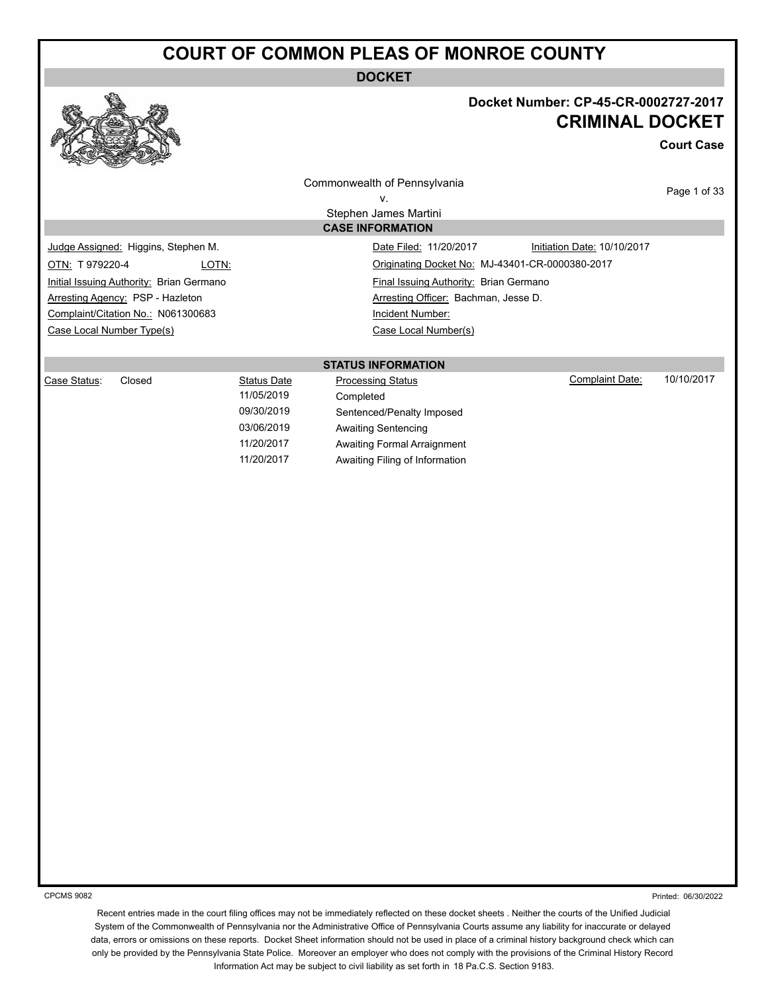**DOCKET**



#### **Docket Number: CP-45-CR-0002727-2017 CRIMINAL DOCKET**

**Court Case**

Commonwealth of Pennsylvania v.

> Stephen James Martini **CASE INFORMATION**

Page 1 of 33

Judge Assigned: Higgins, Stephen M. Date Filed: 11/20/2017 Initiation Date: 10/10/2017 OTN: T 979220-4 LOTN: Originating Docket No: MJ-43401-CR-0000380-2017 Initial Issuing Authority: Brian Germano **Final Issuing Authority: Brian Germano** Arresting Agency: PSP - Hazleton Arresting Officer: Bachman, Jesse D. Complaint/Citation No.: N061300683 Incident Number: Case Local Number Type(s) Case Local Number(s)

**STATUS INFORMATION**

| Case Status: | Closed | Status Date | <b>Processing Status</b>       | Complaint Date: | 10/10/2017 |
|--------------|--------|-------------|--------------------------------|-----------------|------------|
|              |        | 11/05/2019  | Completed                      |                 |            |
|              |        | 09/30/2019  | Sentenced/Penalty Imposed      |                 |            |
|              |        | 03/06/2019  | Awaiting Sentencing            |                 |            |
|              |        | 11/20/2017  | Awaiting Formal Arraignment    |                 |            |
|              |        | 11/20/2017  | Awaiting Filing of Information |                 |            |

CPCMS 9082

Printed: 06/30/2022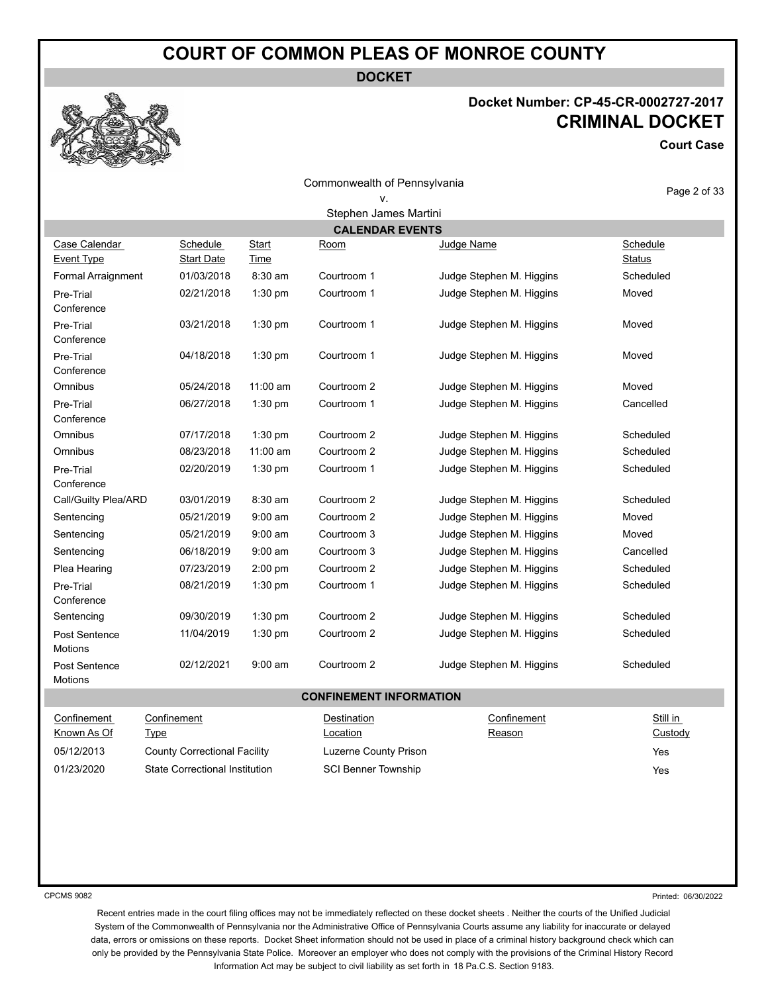**DOCKET**

#### **Docket Number: CP-45-CR-0002727-2017 CRIMINAL DOCKET**

**Court Case**

| Commonwealth of Pennsylvania |  |  |
|------------------------------|--|--|
|------------------------------|--|--|

| Page 2 of 33 |  |  |
|--------------|--|--|

| Stephen James Martini<br><b>CALENDAR EVENTS</b><br>Case Calendar<br>Schedule<br>Schedule<br>Start<br>Judge Name<br>Room<br><b>Event Type</b><br><b>Status</b><br><b>Start Date</b><br><u>Time</u><br><b>Formal Arraignment</b><br>01/03/2018<br>$8:30$ am<br>Courtroom 1<br>Judge Stephen M. Higgins<br>Scheduled<br>1:30 pm<br>02/21/2018<br>Courtroom 1<br>Judge Stephen M. Higgins<br>Moved<br>Pre-Trial<br>Conference<br>03/21/2018<br>1:30 pm<br>Courtroom 1<br>Judge Stephen M. Higgins<br>Moved<br>Pre-Trial<br>Conference<br>1:30 pm<br>Pre-Trial<br>04/18/2018<br>Courtroom 1<br>Judge Stephen M. Higgins<br>Moved<br>Conference |
|-------------------------------------------------------------------------------------------------------------------------------------------------------------------------------------------------------------------------------------------------------------------------------------------------------------------------------------------------------------------------------------------------------------------------------------------------------------------------------------------------------------------------------------------------------------------------------------------------------------------------------------------|
|                                                                                                                                                                                                                                                                                                                                                                                                                                                                                                                                                                                                                                           |
|                                                                                                                                                                                                                                                                                                                                                                                                                                                                                                                                                                                                                                           |
|                                                                                                                                                                                                                                                                                                                                                                                                                                                                                                                                                                                                                                           |
|                                                                                                                                                                                                                                                                                                                                                                                                                                                                                                                                                                                                                                           |
|                                                                                                                                                                                                                                                                                                                                                                                                                                                                                                                                                                                                                                           |
|                                                                                                                                                                                                                                                                                                                                                                                                                                                                                                                                                                                                                                           |
|                                                                                                                                                                                                                                                                                                                                                                                                                                                                                                                                                                                                                                           |
| 11:00 am<br>Omnibus<br>05/24/2018<br>Courtroom 2<br>Moved<br>Judge Stephen M. Higgins                                                                                                                                                                                                                                                                                                                                                                                                                                                                                                                                                     |
| 06/27/2018<br>1:30 pm<br>Courtroom 1<br>Judge Stephen M. Higgins<br>Cancelled<br>Pre-Trial<br>Conference                                                                                                                                                                                                                                                                                                                                                                                                                                                                                                                                  |
| 1:30 pm<br>Omnibus<br>07/17/2018<br>Courtroom 2<br>Judge Stephen M. Higgins<br>Scheduled                                                                                                                                                                                                                                                                                                                                                                                                                                                                                                                                                  |
| Omnibus<br>08/23/2018<br>$11:00$ am<br>Courtroom 2<br>Judge Stephen M. Higgins<br>Scheduled                                                                                                                                                                                                                                                                                                                                                                                                                                                                                                                                               |
| Judge Stephen M. Higgins<br>Scheduled<br>02/20/2019<br>$1:30$ pm<br>Courtroom 1<br>Pre-Trial<br>Conference                                                                                                                                                                                                                                                                                                                                                                                                                                                                                                                                |
| 03/01/2019<br>8:30 am<br>Call/Guilty Plea/ARD<br>Courtroom 2<br>Scheduled<br>Judge Stephen M. Higgins                                                                                                                                                                                                                                                                                                                                                                                                                                                                                                                                     |
| 05/21/2019<br>$9:00$ am<br>Courtroom 2<br>Judge Stephen M. Higgins<br>Moved<br>Sentencing                                                                                                                                                                                                                                                                                                                                                                                                                                                                                                                                                 |
| 05/21/2019<br>$9:00$ am<br>Courtroom 3<br>Judge Stephen M. Higgins<br>Moved<br>Sentencing                                                                                                                                                                                                                                                                                                                                                                                                                                                                                                                                                 |
| 06/18/2019<br>$9:00$ am<br>Courtroom 3<br>Judge Stephen M. Higgins<br>Cancelled<br>Sentencing                                                                                                                                                                                                                                                                                                                                                                                                                                                                                                                                             |
| Scheduled<br>Plea Hearing<br>07/23/2019<br>2:00 pm<br>Courtroom 2<br>Judge Stephen M. Higgins                                                                                                                                                                                                                                                                                                                                                                                                                                                                                                                                             |
| 08/21/2019<br>1:30 pm<br>Courtroom 1<br>Judge Stephen M. Higgins<br>Scheduled<br>Pre-Trial<br>Conference                                                                                                                                                                                                                                                                                                                                                                                                                                                                                                                                  |
| 1:30 pm<br>Courtroom 2<br>Scheduled<br>Sentencing<br>09/30/2019<br>Judge Stephen M. Higgins                                                                                                                                                                                                                                                                                                                                                                                                                                                                                                                                               |
| 11/04/2019<br>1:30 pm<br>Courtroom 2<br>Judge Stephen M. Higgins<br>Scheduled<br>Post Sentence<br>Motions                                                                                                                                                                                                                                                                                                                                                                                                                                                                                                                                 |
| 02/12/2021<br>$9:00$ am<br>Courtroom 2<br>Judge Stephen M. Higgins<br>Scheduled<br>Post Sentence<br>Motions                                                                                                                                                                                                                                                                                                                                                                                                                                                                                                                               |
| <b>CONFINEMENT INFORMATION</b>                                                                                                                                                                                                                                                                                                                                                                                                                                                                                                                                                                                                            |
| Confinement<br>Confinement<br>Still in<br>Confinement<br>Destination<br>Known As Of<br>Custody<br><b>Type</b><br><b>Location</b><br>Reason                                                                                                                                                                                                                                                                                                                                                                                                                                                                                                |
| 05/12/2013<br><b>County Correctional Facility</b><br>Luzerne County Prison<br>Yes                                                                                                                                                                                                                                                                                                                                                                                                                                                                                                                                                         |
| 01/23/2020<br><b>State Correctional Institution</b><br><b>SCI Benner Township</b><br>Yes                                                                                                                                                                                                                                                                                                                                                                                                                                                                                                                                                  |

CPCMS 9082

Printed: 06/30/2022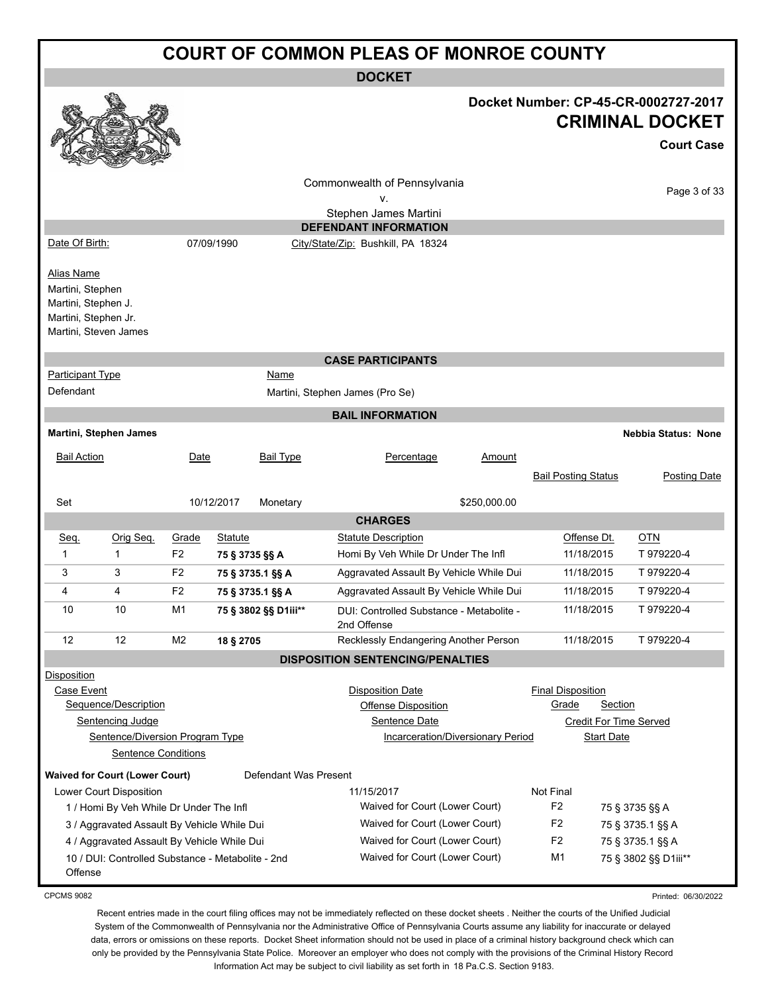|                                                                                      | <b>COURT OF COMMON PLEAS OF MONROE COUNTY</b>                                                             |                |                |                       |                                                                                                                    |              |                                   |                              |                                                                                     |
|--------------------------------------------------------------------------------------|-----------------------------------------------------------------------------------------------------------|----------------|----------------|-----------------------|--------------------------------------------------------------------------------------------------------------------|--------------|-----------------------------------|------------------------------|-------------------------------------------------------------------------------------|
|                                                                                      | <b>DOCKET</b>                                                                                             |                |                |                       |                                                                                                                    |              |                                   |                              |                                                                                     |
|                                                                                      |                                                                                                           |                |                |                       |                                                                                                                    |              |                                   |                              | Docket Number: CP-45-CR-0002727-2017<br><b>CRIMINAL DOCKET</b><br><b>Court Case</b> |
|                                                                                      |                                                                                                           |                |                |                       | Commonwealth of Pennsylvania<br>٧.                                                                                 |              |                                   |                              | Page 3 of 33                                                                        |
|                                                                                      |                                                                                                           |                |                |                       | Stephen James Martini                                                                                              |              |                                   |                              |                                                                                     |
|                                                                                      |                                                                                                           |                |                |                       | <b>DEFENDANT INFORMATION</b>                                                                                       |              |                                   |                              |                                                                                     |
| Date Of Birth:                                                                       |                                                                                                           |                | 07/09/1990     |                       | City/State/Zip: Bushkill, PA 18324                                                                                 |              |                                   |                              |                                                                                     |
| <b>Alias Name</b><br>Martini, Stephen<br>Martini, Stephen J.<br>Martini, Stephen Jr. | Martini, Steven James                                                                                     |                |                |                       |                                                                                                                    |              |                                   |                              |                                                                                     |
|                                                                                      |                                                                                                           |                |                |                       | <b>CASE PARTICIPANTS</b>                                                                                           |              |                                   |                              |                                                                                     |
| <b>Participant Type</b><br>Defendant                                                 |                                                                                                           |                |                | Name                  | Martini, Stephen James (Pro Se)                                                                                    |              |                                   |                              |                                                                                     |
|                                                                                      |                                                                                                           |                |                |                       | <b>BAIL INFORMATION</b>                                                                                            |              |                                   |                              |                                                                                     |
|                                                                                      | Martini, Stephen James                                                                                    |                |                |                       |                                                                                                                    |              |                                   |                              | <b>Nebbia Status: None</b>                                                          |
| <b>Bail Action</b>                                                                   |                                                                                                           | Date           |                | <b>Bail Type</b>      | Percentage                                                                                                         | Amount       |                                   |                              |                                                                                     |
|                                                                                      |                                                                                                           |                |                |                       |                                                                                                                    |              | <b>Bail Posting Status</b>        |                              | Posting Date                                                                        |
| Set                                                                                  |                                                                                                           |                | 10/12/2017     | Monetary              |                                                                                                                    | \$250,000.00 |                                   |                              |                                                                                     |
|                                                                                      |                                                                                                           |                |                |                       | <b>CHARGES</b>                                                                                                     |              |                                   |                              |                                                                                     |
| Seq.                                                                                 | Orig Seq.                                                                                                 | Grade          | <b>Statute</b> |                       | <b>Statute Description</b>                                                                                         |              |                                   | Offense Dt.                  | <b>OTN</b>                                                                          |
| 1                                                                                    | 1                                                                                                         | F <sub>2</sub> |                | 75 § 3735 §§ A        | Homi By Veh While Dr Under The Infl                                                                                |              |                                   | 11/18/2015                   | T 979220-4                                                                          |
| 3                                                                                    | 3                                                                                                         | F <sub>2</sub> |                | 75 § 3735.1 §§ A      | Aggravated Assault By Vehicle While Dui                                                                            |              |                                   | 11/18/2015                   | T 979220-4                                                                          |
| 4                                                                                    | 4                                                                                                         | F <sub>2</sub> |                | 75 § 3735.1 §§ A      | Aggravated Assault By Vehicle While Dui                                                                            |              |                                   | 11/18/2015                   | T 979220-4                                                                          |
| 10                                                                                   | 10                                                                                                        | M <sub>1</sub> |                | 75 § 3802 §§ D1iii**  | DUI: Controlled Substance - Metabolite -<br>2nd Offense                                                            |              |                                   | 11/18/2015                   | T 979220-4                                                                          |
| 12                                                                                   | 12                                                                                                        | M <sub>2</sub> | 18 § 2705      |                       | Recklessly Endangering Another Person                                                                              |              |                                   | 11/18/2015                   | T 979220-4                                                                          |
|                                                                                      |                                                                                                           |                |                |                       | <b>DISPOSITION SENTENCING/PENALTIES</b>                                                                            |              |                                   |                              |                                                                                     |
| <b>Disposition</b><br>Case Event                                                     | Sequence/Description<br>Sentencing Judge<br>Sentence/Diversion Program Type<br><b>Sentence Conditions</b> |                |                |                       | <b>Disposition Date</b><br><b>Offense Disposition</b><br>Sentence Date<br><b>Incarceration/Diversionary Period</b> |              | <b>Final Disposition</b><br>Grade | Section<br><b>Start Date</b> | Credit For Time Served                                                              |
|                                                                                      |                                                                                                           |                |                | Defendant Was Present |                                                                                                                    |              |                                   |                              |                                                                                     |
|                                                                                      | <b>Waived for Court (Lower Court)</b><br>Lower Court Disposition                                          |                |                |                       | 11/15/2017                                                                                                         |              | Not Final                         |                              |                                                                                     |
|                                                                                      | 1 / Homi By Veh While Dr Under The Infl                                                                   |                |                |                       | Waived for Court (Lower Court)                                                                                     |              | F <sub>2</sub>                    |                              | 75 § 3735 §§ A                                                                      |
|                                                                                      | 3 / Aggravated Assault By Vehicle While Dui                                                               |                |                |                       | Waived for Court (Lower Court)                                                                                     |              | F <sub>2</sub>                    |                              | 75 § 3735.1 §§ A                                                                    |
|                                                                                      | 4 / Aggravated Assault By Vehicle While Dui                                                               |                |                |                       | Waived for Court (Lower Court)                                                                                     |              | F <sub>2</sub>                    |                              | 75 § 3735.1 §§ A                                                                    |
| Offense                                                                              | 10 / DUI: Controlled Substance - Metabolite - 2nd                                                         |                |                |                       | Waived for Court (Lower Court)                                                                                     |              | M <sub>1</sub>                    |                              | 75 § 3802 §§ D1iii**                                                                |

CPCMS 9082

Recent entries made in the court filing offices may not be immediately reflected on these docket sheets . Neither the courts of the Unified Judicial System of the Commonwealth of Pennsylvania nor the Administrative Office of Pennsylvania Courts assume any liability for inaccurate or delayed data, errors or omissions on these reports. Docket Sheet information should not be used in place of a criminal history background check which can only be provided by the Pennsylvania State Police. Moreover an employer who does not comply with the provisions of the Criminal History Record Information Act may be subject to civil liability as set forth in 18 Pa.C.S. Section 9183.

Printed: 06/30/2022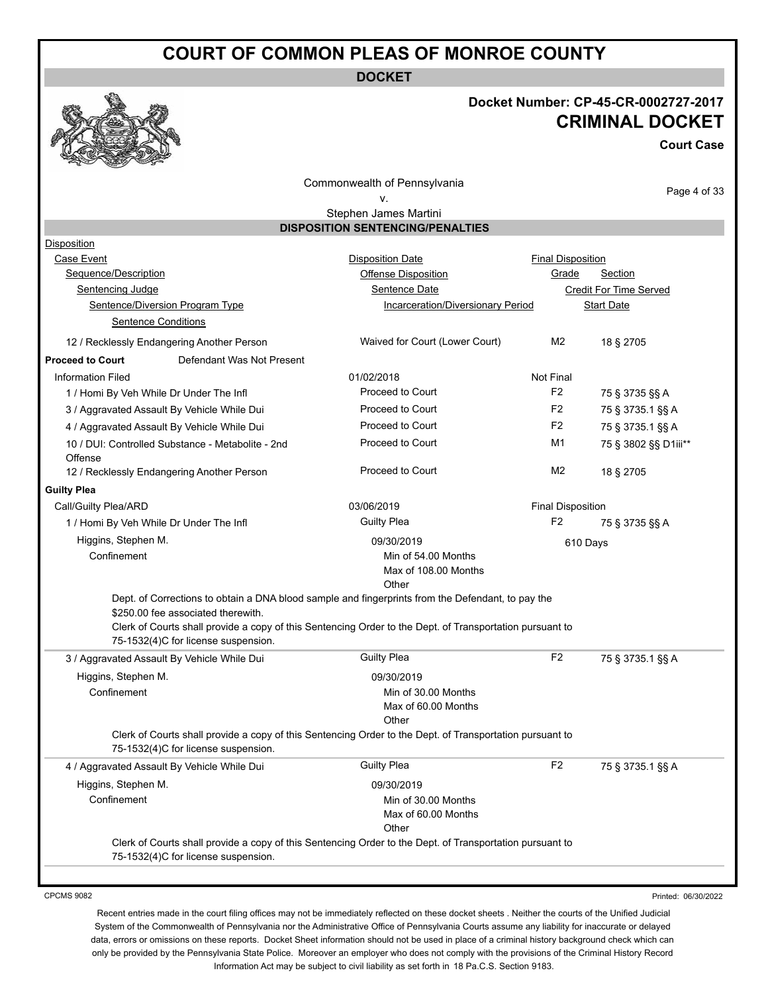**DOCKET**

#### **Docket Number: CP-45-CR-0002727-2017 CRIMINAL DOCKET**

**Court Case**

Commonwealth of Pennsylvania v.

Page 4 of 33

#### Stephen James Martini **DISPOSITION SENTENCING/PENALTIES**

| Disposition                                                               |                                                                                                                                                                                                               |                          |                               |  |
|---------------------------------------------------------------------------|---------------------------------------------------------------------------------------------------------------------------------------------------------------------------------------------------------------|--------------------------|-------------------------------|--|
| Case Event                                                                | <b>Disposition Date</b>                                                                                                                                                                                       | <b>Final Disposition</b> |                               |  |
| Sequence/Description                                                      | Offense Disposition                                                                                                                                                                                           | Grade                    | <b>Section</b>                |  |
| Sentencing Judge                                                          | Sentence Date                                                                                                                                                                                                 |                          | <b>Credit For Time Served</b> |  |
| Sentence/Diversion Program Type                                           | Incarceration/Diversionary Period                                                                                                                                                                             |                          | <b>Start Date</b>             |  |
| <b>Sentence Conditions</b>                                                |                                                                                                                                                                                                               |                          |                               |  |
| 12 / Recklessly Endangering Another Person                                | Waived for Court (Lower Court)                                                                                                                                                                                | M <sub>2</sub>           | 18 § 2705                     |  |
| <b>Proceed to Court</b><br>Defendant Was Not Present                      |                                                                                                                                                                                                               |                          |                               |  |
| <b>Information Filed</b>                                                  | 01/02/2018                                                                                                                                                                                                    | Not Final                |                               |  |
| 1 / Homi By Veh While Dr Under The Infl                                   | Proceed to Court                                                                                                                                                                                              | F <sub>2</sub>           | 75 § 3735 §§ A                |  |
| 3 / Aggravated Assault By Vehicle While Dui                               | Proceed to Court                                                                                                                                                                                              | F <sub>2</sub>           | 75 § 3735.1 §§ A              |  |
| 4 / Aggravated Assault By Vehicle While Dui                               | Proceed to Court                                                                                                                                                                                              | F <sub>2</sub>           | 75 § 3735.1 §§ A              |  |
| 10 / DUI: Controlled Substance - Metabolite - 2nd<br>Offense              | Proceed to Court                                                                                                                                                                                              | M1                       | 75 § 3802 §§ D1iii**          |  |
| 12 / Recklessly Endangering Another Person                                | Proceed to Court                                                                                                                                                                                              | M <sub>2</sub>           | 18 § 2705                     |  |
| <b>Guilty Plea</b>                                                        |                                                                                                                                                                                                               |                          |                               |  |
| Call/Guilty Plea/ARD                                                      | 03/06/2019                                                                                                                                                                                                    | <b>Final Disposition</b> |                               |  |
| 1 / Homi By Veh While Dr Under The Infl                                   | <b>Guilty Plea</b>                                                                                                                                                                                            | F2                       | 75 § 3735 §§ A                |  |
| Higgins, Stephen M.                                                       | 09/30/2019                                                                                                                                                                                                    | 610 Days                 |                               |  |
| Confinement                                                               | Min of 54.00 Months<br>Max of 108.00 Months<br>Other                                                                                                                                                          |                          |                               |  |
| \$250.00 fee associated therewith.<br>75-1532(4)C for license suspension. | Dept. of Corrections to obtain a DNA blood sample and fingerprints from the Defendant, to pay the<br>Clerk of Courts shall provide a copy of this Sentencing Order to the Dept. of Transportation pursuant to |                          |                               |  |
| 3 / Aggravated Assault By Vehicle While Dui                               | <b>Guilty Plea</b>                                                                                                                                                                                            |                          |                               |  |
|                                                                           |                                                                                                                                                                                                               | F <sub>2</sub>           | 75 § 3735.1 §§ A              |  |
| Higgins, Stephen M.                                                       | 09/30/2019                                                                                                                                                                                                    |                          |                               |  |
| Confinement                                                               | Min of 30.00 Months<br>Max of 60.00 Months                                                                                                                                                                    |                          |                               |  |
| 75-1532(4)C for license suspension.                                       | Other<br>Clerk of Courts shall provide a copy of this Sentencing Order to the Dept. of Transportation pursuant to                                                                                             |                          |                               |  |
| 4 / Aggravated Assault By Vehicle While Dui                               | <b>Guilty Plea</b>                                                                                                                                                                                            | F <sub>2</sub>           | 75 § 3735.1 §§ A              |  |
| Higgins, Stephen M.                                                       | 09/30/2019                                                                                                                                                                                                    |                          |                               |  |
| Confinement                                                               | Min of 30.00 Months<br>Max of 60.00 Months<br>Other                                                                                                                                                           |                          |                               |  |

CPCMS 9082

Printed: 06/30/2022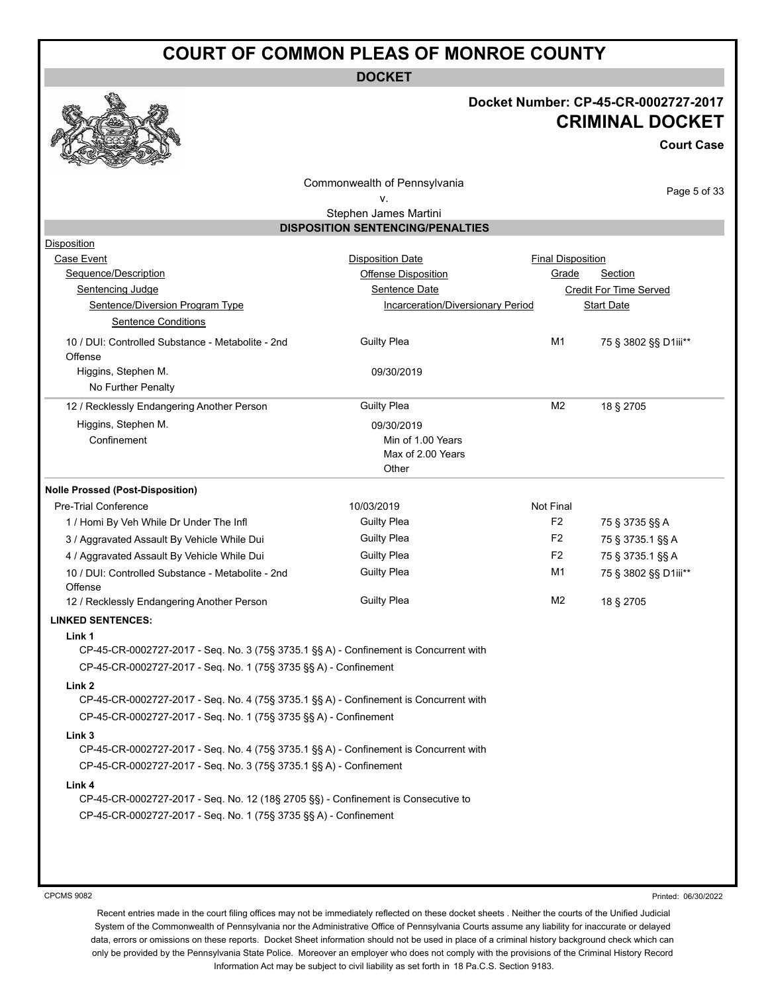**DOCKET**

#### **Docket Number: CP-45-CR-0002727-2017 CRIMINAL DOCKET**

**Court Case**

Commonwealth of Pennsylvania

Page 5 of 33

#### v. Stephen James Martini

|                                                                                       | <b>DISPOSITION SENTENCING/PENALTIES</b> |                          |                        |
|---------------------------------------------------------------------------------------|-----------------------------------------|--------------------------|------------------------|
| <b>Disposition</b>                                                                    |                                         |                          |                        |
| Case Event                                                                            | <b>Disposition Date</b>                 | <b>Final Disposition</b> |                        |
| Sequence/Description                                                                  | Offense Disposition                     | Grade                    | <b>Section</b>         |
| <b>Sentencing Judge</b>                                                               | Sentence Date                           |                          | Credit For Time Served |
| Sentence/Diversion Program Type                                                       | Incarceration/Diversionary Period       |                          | <b>Start Date</b>      |
| <b>Sentence Conditions</b>                                                            |                                         |                          |                        |
| 10 / DUI: Controlled Substance - Metabolite - 2nd                                     | <b>Guilty Plea</b>                      | M1                       | 75 § 3802 §§ D1iii**   |
| Offense                                                                               |                                         |                          |                        |
| Higgins, Stephen M.                                                                   | 09/30/2019                              |                          |                        |
| No Further Penalty                                                                    |                                         |                          |                        |
| 12 / Recklessly Endangering Another Person                                            | <b>Guilty Plea</b>                      | M <sub>2</sub>           | 18 § 2705              |
| Higgins, Stephen M.                                                                   | 09/30/2019                              |                          |                        |
| Confinement                                                                           | Min of 1.00 Years                       |                          |                        |
|                                                                                       | Max of 2.00 Years                       |                          |                        |
|                                                                                       | Other                                   |                          |                        |
| <b>Nolle Prossed (Post-Disposition)</b>                                               |                                         |                          |                        |
| <b>Pre-Trial Conference</b>                                                           | 10/03/2019                              | Not Final                |                        |
| 1 / Homi By Veh While Dr Under The Infl                                               | <b>Guilty Plea</b>                      | F <sub>2</sub>           | 75 § 3735 §§ A         |
| 3 / Aggravated Assault By Vehicle While Dui                                           | <b>Guilty Plea</b>                      | F <sub>2</sub>           | 75 § 3735.1 §§ A       |
| 4 / Aggravated Assault By Vehicle While Dui                                           | <b>Guilty Plea</b>                      | F <sub>2</sub>           | 75 § 3735.1 §§ A       |
| 10 / DUI: Controlled Substance - Metabolite - 2nd                                     | <b>Guilty Plea</b>                      | M1                       | 75 § 3802 §§ D1iii**   |
| Offense                                                                               |                                         |                          |                        |
| 12 / Recklessly Endangering Another Person                                            | <b>Guilty Plea</b>                      | M2                       | 18 § 2705              |
| <b>LINKED SENTENCES:</b>                                                              |                                         |                          |                        |
| Link 1                                                                                |                                         |                          |                        |
| CP-45-CR-0002727-2017 - Seq. No. 3 (75§ 3735.1 §§ A) - Confinement is Concurrent with |                                         |                          |                        |
| CP-45-CR-0002727-2017 - Seq. No. 1 (75§ 3735 §§ A) - Confinement                      |                                         |                          |                        |
| Link <sub>2</sub>                                                                     |                                         |                          |                        |
| CP-45-CR-0002727-2017 - Seq. No. 4 (75§ 3735.1 §§ A) - Confinement is Concurrent with |                                         |                          |                        |
| CP-45-CR-0002727-2017 - Seq. No. 1 (75§ 3735 §§ A) - Confinement                      |                                         |                          |                        |
| Link <sub>3</sub>                                                                     |                                         |                          |                        |
| CP-45-CR-0002727-2017 - Seq. No. 4 (75§ 3735.1 §§ A) - Confinement is Concurrent with |                                         |                          |                        |
| CP-45-CR-0002727-2017 - Seq. No. 3 (75§ 3735.1 §§ A) - Confinement                    |                                         |                          |                        |
| Link 4                                                                                |                                         |                          |                        |
| CP-45-CR-0002727-2017 - Seq. No. 12 (18§ 2705 §§) - Confinement is Consecutive to     |                                         |                          |                        |
| CP-45-CR-0002727-2017 - Seq. No. 1 (75§ 3735 §§ A) - Confinement                      |                                         |                          |                        |
|                                                                                       |                                         |                          |                        |
|                                                                                       |                                         |                          |                        |

CPCMS 9082

Printed: 06/30/2022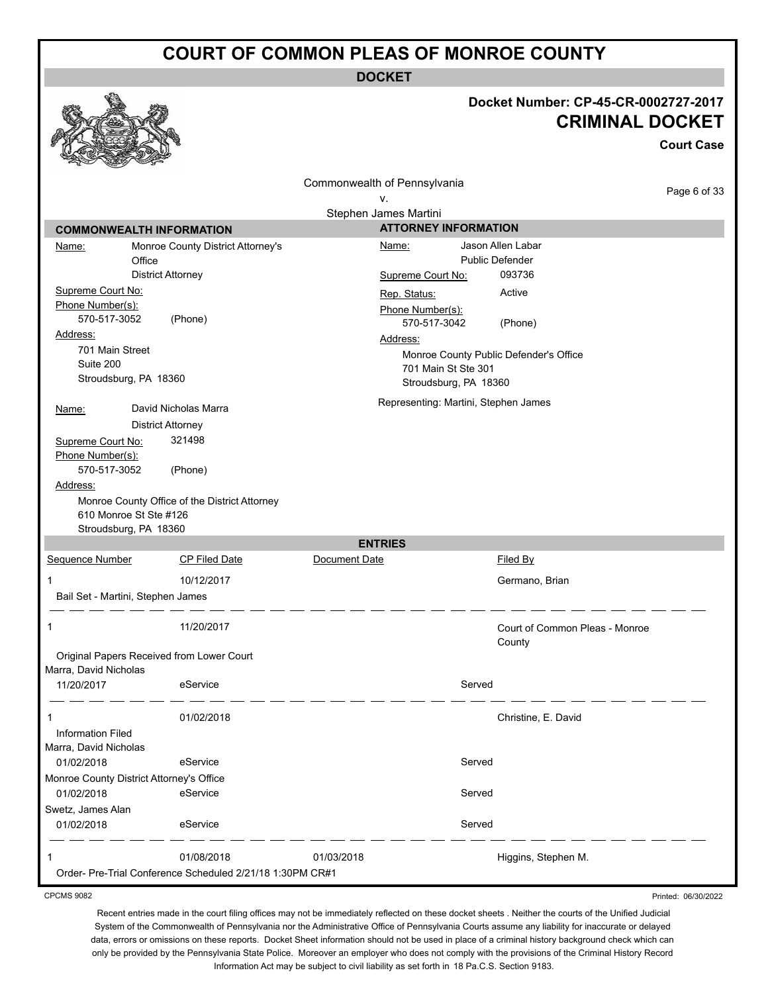**DOCKET**

|                                                                                                                                                                                                                                    |                                                                                                                                                   |                                                                            |                                                                                                      | Docket Number: CP-45-CR-0002727-2017<br><b>CRIMINAL DOCKET</b>                                                       | <b>Court Case</b> |
|------------------------------------------------------------------------------------------------------------------------------------------------------------------------------------------------------------------------------------|---------------------------------------------------------------------------------------------------------------------------------------------------|----------------------------------------------------------------------------|------------------------------------------------------------------------------------------------------|----------------------------------------------------------------------------------------------------------------------|-------------------|
|                                                                                                                                                                                                                                    |                                                                                                                                                   | Commonwealth of Pennsylvania<br>ν.                                         |                                                                                                      |                                                                                                                      | Page 6 of 33      |
|                                                                                                                                                                                                                                    |                                                                                                                                                   | Stephen James Martini                                                      |                                                                                                      |                                                                                                                      |                   |
| <b>COMMONWEALTH INFORMATION</b>                                                                                                                                                                                                    |                                                                                                                                                   |                                                                            | <b>ATTORNEY INFORMATION</b>                                                                          |                                                                                                                      |                   |
| Name:<br>Office<br>Supreme Court No:<br>Phone Number(s):<br>570-517-3052<br>Address:<br>701 Main Street<br>Suite 200<br>Stroudsburg, PA 18360<br><u>Name:</u><br>Supreme Court No:<br>Phone Number(s):<br>570-517-3052<br>Address: | Monroe County District Attorney's<br><b>District Attorney</b><br>(Phone)<br>David Nicholas Marra<br><b>District Attorney</b><br>321498<br>(Phone) | Name:<br>Supreme Court No:<br>Rep. Status:<br>Phone Number(s):<br>Address: | 570-517-3042<br>701 Main St Ste 301<br>Stroudsburg, PA 18360<br>Representing: Martini, Stephen James | Jason Allen Labar<br><b>Public Defender</b><br>093736<br>Active<br>(Phone)<br>Monroe County Public Defender's Office |                   |
| 610 Monroe St Ste #126<br>Stroudsburg, PA 18360                                                                                                                                                                                    | Monroe County Office of the District Attorney                                                                                                     |                                                                            |                                                                                                      |                                                                                                                      |                   |
| Sequence Number                                                                                                                                                                                                                    | <b>CP Filed Date</b>                                                                                                                              | <b>ENTRIES</b><br>Document Date                                            |                                                                                                      | <b>Filed By</b>                                                                                                      |                   |
| 1<br>Bail Set - Martini, Stephen James                                                                                                                                                                                             | 10/12/2017                                                                                                                                        |                                                                            |                                                                                                      | Germano, Brian                                                                                                       |                   |
| 1<br>Original Papers Received from Lower Court<br>Marra, David Nicholas                                                                                                                                                            | 11/20/2017                                                                                                                                        |                                                                            |                                                                                                      | Court of Common Pleas - Monroe<br>County                                                                             |                   |
| 11/20/2017                                                                                                                                                                                                                         | eService                                                                                                                                          |                                                                            | Served                                                                                               |                                                                                                                      |                   |
| 1<br><b>Information Filed</b><br>Marra, David Nicholas                                                                                                                                                                             | 01/02/2018                                                                                                                                        |                                                                            |                                                                                                      | Christine, E. David                                                                                                  |                   |
| 01/02/2018                                                                                                                                                                                                                         | eService                                                                                                                                          |                                                                            | Served                                                                                               |                                                                                                                      |                   |
| Monroe County District Attorney's Office                                                                                                                                                                                           |                                                                                                                                                   |                                                                            |                                                                                                      |                                                                                                                      |                   |
| 01/02/2018<br>Swetz, James Alan<br>01/02/2018                                                                                                                                                                                      | eService<br>eService                                                                                                                              |                                                                            | Served<br>Served                                                                                     |                                                                                                                      |                   |
| 1                                                                                                                                                                                                                                  | 01/08/2018<br>Order- Pre-Trial Conference Scheduled 2/21/18 1:30PM CR#1                                                                           | 01/03/2018                                                                 |                                                                                                      | Higgins, Stephen M.                                                                                                  |                   |

CPCMS 9082

Printed: 06/30/2022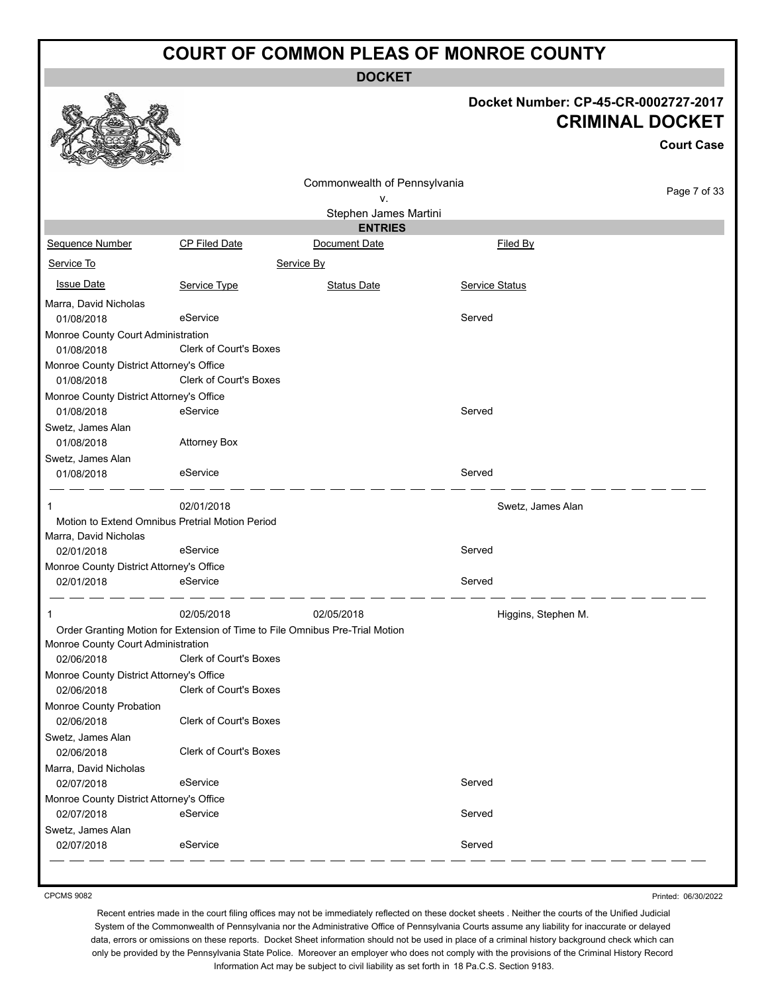**DOCKET**

#### **Docket Number: CP-45-CR-0002727-2017 CRIMINAL DOCKET**

**Court Case**

|                                          |                                                                              | Commonwealth of Pennsylvania |                       |              |
|------------------------------------------|------------------------------------------------------------------------------|------------------------------|-----------------------|--------------|
|                                          |                                                                              | ۷.                           |                       | Page 7 of 33 |
|                                          |                                                                              | Stephen James Martini        |                       |              |
|                                          |                                                                              | <b>ENTRIES</b>               |                       |              |
| Sequence Number                          | <b>CP Filed Date</b>                                                         | Document Date                | Filed By              |              |
| Service To                               |                                                                              | Service By                   |                       |              |
| <b>Issue Date</b>                        | Service Type                                                                 | <b>Status Date</b>           | <b>Service Status</b> |              |
| Marra, David Nicholas                    |                                                                              |                              |                       |              |
| 01/08/2018                               | eService                                                                     |                              | Served                |              |
| Monroe County Court Administration       |                                                                              |                              |                       |              |
| 01/08/2018                               | Clerk of Court's Boxes                                                       |                              |                       |              |
| Monroe County District Attorney's Office |                                                                              |                              |                       |              |
| 01/08/2018                               | Clerk of Court's Boxes                                                       |                              |                       |              |
| Monroe County District Attorney's Office |                                                                              |                              |                       |              |
| 01/08/2018                               | eService                                                                     |                              | Served                |              |
| Swetz, James Alan                        |                                                                              |                              |                       |              |
| 01/08/2018                               | <b>Attorney Box</b>                                                          |                              |                       |              |
| Swetz, James Alan                        |                                                                              |                              |                       |              |
| 01/08/2018                               | eService                                                                     |                              | Served                |              |
| 1                                        | 02/01/2018                                                                   |                              | Swetz, James Alan     |              |
|                                          | Motion to Extend Omnibus Pretrial Motion Period                              |                              |                       |              |
| Marra, David Nicholas                    |                                                                              |                              |                       |              |
| 02/01/2018                               | eService                                                                     |                              | Served                |              |
| Monroe County District Attorney's Office |                                                                              |                              |                       |              |
| 02/01/2018                               | eService                                                                     |                              | Served                |              |
| 1                                        | 02/05/2018                                                                   | 02/05/2018                   | Higgins, Stephen M.   |              |
|                                          | Order Granting Motion for Extension of Time to File Omnibus Pre-Trial Motion |                              |                       |              |
| Monroe County Court Administration       |                                                                              |                              |                       |              |
| 02/06/2018                               | <b>Clerk of Court's Boxes</b>                                                |                              |                       |              |
| Monroe County District Attorney's Office |                                                                              |                              |                       |              |
| 02/06/2018                               | <b>Clerk of Court's Boxes</b>                                                |                              |                       |              |
| Monroe County Probation                  |                                                                              |                              |                       |              |
| 02/06/2018                               | Clerk of Court's Boxes                                                       |                              |                       |              |
| Swetz, James Alan                        |                                                                              |                              |                       |              |
| 02/06/2018                               | Clerk of Court's Boxes                                                       |                              |                       |              |
| Marra, David Nicholas                    |                                                                              |                              |                       |              |
| 02/07/2018                               | eService                                                                     |                              | Served                |              |
| Monroe County District Attorney's Office |                                                                              |                              |                       |              |
| 02/07/2018                               | eService                                                                     |                              | Served                |              |
| Swetz, James Alan                        |                                                                              |                              |                       |              |
| 02/07/2018                               | eService                                                                     |                              | Served                |              |
|                                          |                                                                              |                              |                       |              |

CPCMS 9082

Printed: 06/30/2022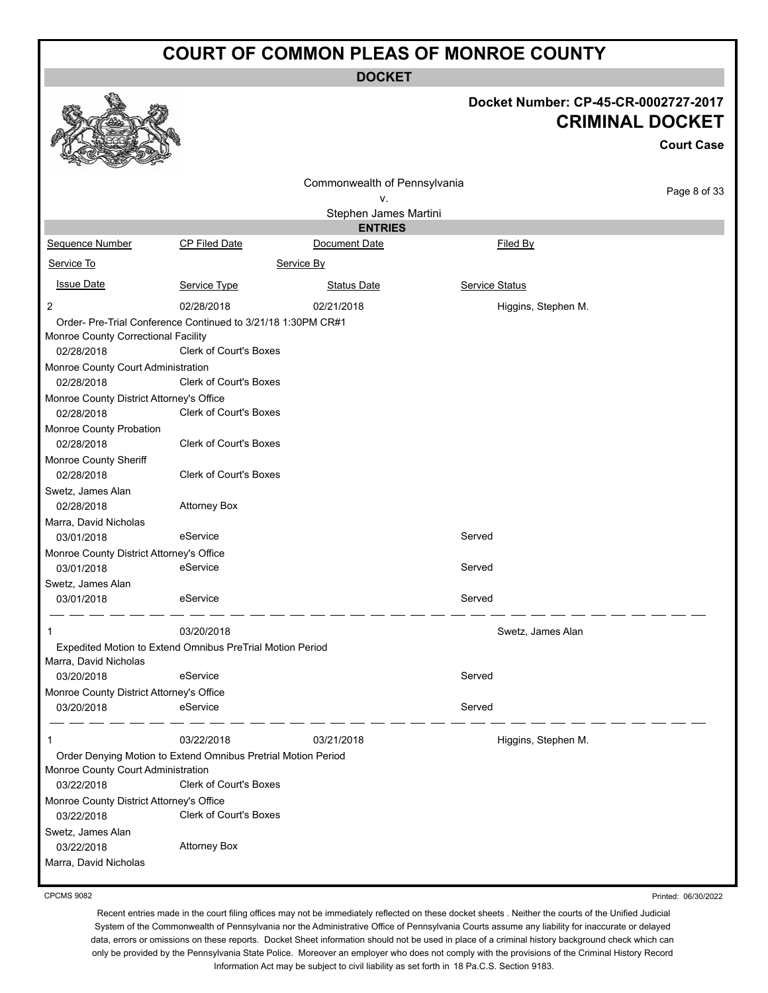**DOCKET**

|                                          |                                                                            |                                    |                       | Docket Number: CP-45-CR-0002727-2017<br><b>CRIMINAL DOCKET</b> |
|------------------------------------------|----------------------------------------------------------------------------|------------------------------------|-----------------------|----------------------------------------------------------------|
|                                          |                                                                            |                                    |                       | <b>Court Case</b>                                              |
|                                          |                                                                            | Commonwealth of Pennsylvania<br>v. |                       | Page 8 of 33                                                   |
|                                          |                                                                            | Stephen James Martini              |                       |                                                                |
| Sequence Number                          | <b>CP Filed Date</b>                                                       | <b>ENTRIES</b><br>Document Date    | Filed By              |                                                                |
| Service To                               |                                                                            | Service By                         |                       |                                                                |
| <b>Issue Date</b>                        | Service Type                                                               | <b>Status Date</b>                 | <b>Service Status</b> |                                                                |
|                                          |                                                                            |                                    |                       |                                                                |
| 2                                        | 02/28/2018<br>Order- Pre-Trial Conference Continued to 3/21/18 1:30PM CR#1 | 02/21/2018                         | Higgins, Stephen M.   |                                                                |
| Monroe County Correctional Facility      |                                                                            |                                    |                       |                                                                |
| 02/28/2018                               | Clerk of Court's Boxes                                                     |                                    |                       |                                                                |
| Monroe County Court Administration       |                                                                            |                                    |                       |                                                                |
| 02/28/2018                               | <b>Clerk of Court's Boxes</b>                                              |                                    |                       |                                                                |
| Monroe County District Attorney's Office |                                                                            |                                    |                       |                                                                |
| 02/28/2018                               | <b>Clerk of Court's Boxes</b>                                              |                                    |                       |                                                                |
| Monroe County Probation<br>02/28/2018    | <b>Clerk of Court's Boxes</b>                                              |                                    |                       |                                                                |
| Monroe County Sheriff<br>02/28/2018      | <b>Clerk of Court's Boxes</b>                                              |                                    |                       |                                                                |
| Swetz, James Alan                        |                                                                            |                                    |                       |                                                                |
| 02/28/2018                               | <b>Attorney Box</b>                                                        |                                    |                       |                                                                |
| Marra, David Nicholas                    |                                                                            |                                    |                       |                                                                |
| 03/01/2018                               | eService                                                                   |                                    | Served                |                                                                |
| Monroe County District Attorney's Office |                                                                            |                                    |                       |                                                                |
| 03/01/2018                               | eService                                                                   |                                    | Served                |                                                                |
| Swetz, James Alan                        |                                                                            |                                    |                       |                                                                |
| 03/01/2018                               | eService                                                                   |                                    | Served                |                                                                |
|                                          | 03/20/2018                                                                 |                                    | Swetz, James Alan     |                                                                |
|                                          | Expedited Motion to Extend Omnibus PreTrial Motion Period                  |                                    |                       |                                                                |
| Marra, David Nicholas                    |                                                                            |                                    |                       |                                                                |
| 03/20/2018                               | eService                                                                   |                                    | Served                |                                                                |
| Monroe County District Attorney's Office |                                                                            |                                    |                       |                                                                |
| 03/20/2018                               | eService                                                                   |                                    | Served                |                                                                |
| 1                                        | 03/22/2018                                                                 | 03/21/2018                         | Higgins, Stephen M.   |                                                                |
|                                          | Order Denying Motion to Extend Omnibus Pretrial Motion Period              |                                    |                       |                                                                |
| Monroe County Court Administration       |                                                                            |                                    |                       |                                                                |
| 03/22/2018                               | Clerk of Court's Boxes                                                     |                                    |                       |                                                                |
| Monroe County District Attorney's Office |                                                                            |                                    |                       |                                                                |
| 03/22/2018                               | Clerk of Court's Boxes                                                     |                                    |                       |                                                                |
| Swetz, James Alan                        |                                                                            |                                    |                       |                                                                |
| 03/22/2018                               | <b>Attorney Box</b>                                                        |                                    |                       |                                                                |
| Marra, David Nicholas                    |                                                                            |                                    |                       |                                                                |

CPCMS 9082

 $\mathcal{L}$ 

Recent entries made in the court filing offices may not be immediately reflected on these docket sheets . Neither the courts of the Unified Judicial System of the Commonwealth of Pennsylvania nor the Administrative Office of Pennsylvania Courts assume any liability for inaccurate or delayed data, errors or omissions on these reports. Docket Sheet information should not be used in place of a criminal history background check which can only be provided by the Pennsylvania State Police. Moreover an employer who does not comply with the provisions of the Criminal History Record Information Act may be subject to civil liability as set forth in 18 Pa.C.S. Section 9183.

Printed: 06/30/2022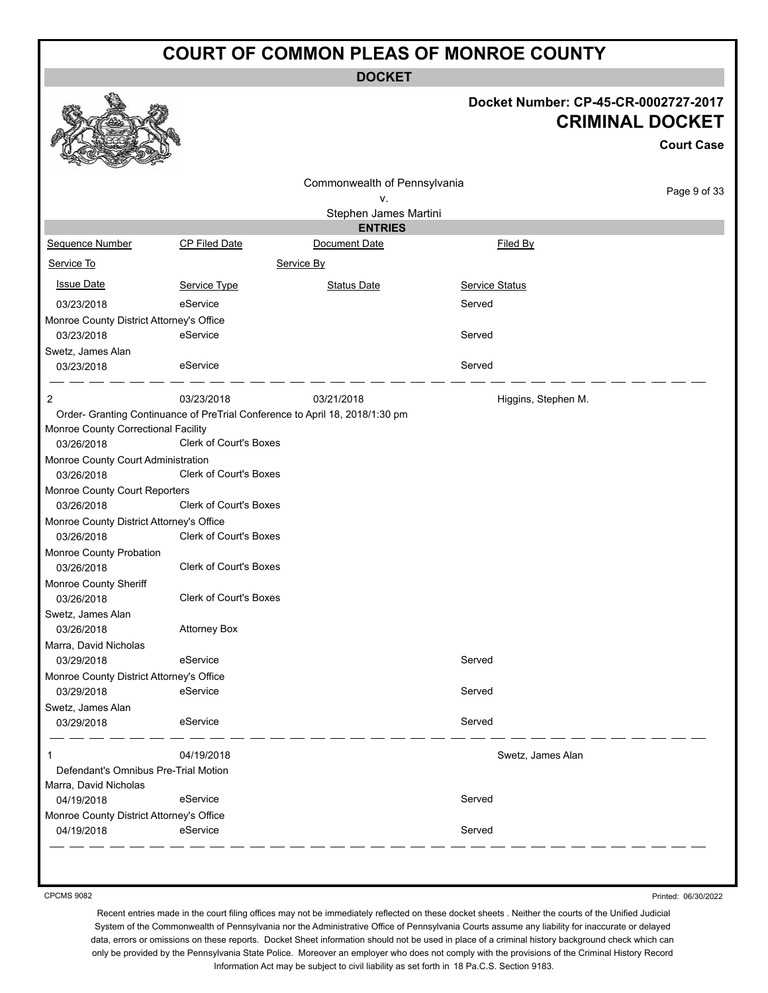**DOCKET**

#### **Docket Number: CP-45-CR-0002727-2017 CRIMINAL DOCKET**

|                                                                                                                                                                                                                                                                                                                                                            |                                                                                                                                                                                                                                                                 |                                    | Docket Number: CP-45-CR-0002727-2017 | <b>CRIMINAL DOCKET</b><br><b>Court Case</b> |
|------------------------------------------------------------------------------------------------------------------------------------------------------------------------------------------------------------------------------------------------------------------------------------------------------------------------------------------------------------|-----------------------------------------------------------------------------------------------------------------------------------------------------------------------------------------------------------------------------------------------------------------|------------------------------------|--------------------------------------|---------------------------------------------|
|                                                                                                                                                                                                                                                                                                                                                            |                                                                                                                                                                                                                                                                 |                                    |                                      |                                             |
|                                                                                                                                                                                                                                                                                                                                                            |                                                                                                                                                                                                                                                                 | Commonwealth of Pennsylvania<br>۷. |                                      | Page 9 of 33                                |
|                                                                                                                                                                                                                                                                                                                                                            |                                                                                                                                                                                                                                                                 | Stephen James Martini              |                                      |                                             |
|                                                                                                                                                                                                                                                                                                                                                            |                                                                                                                                                                                                                                                                 | <b>ENTRIES</b>                     |                                      |                                             |
| Sequence Number                                                                                                                                                                                                                                                                                                                                            | CP Filed Date                                                                                                                                                                                                                                                   | Document Date                      | Filed By                             |                                             |
| Service To                                                                                                                                                                                                                                                                                                                                                 |                                                                                                                                                                                                                                                                 | Service By                         |                                      |                                             |
| <b>Issue Date</b>                                                                                                                                                                                                                                                                                                                                          | Service Type                                                                                                                                                                                                                                                    | <b>Status Date</b>                 | Service Status                       |                                             |
| 03/23/2018                                                                                                                                                                                                                                                                                                                                                 | eService                                                                                                                                                                                                                                                        |                                    | Served                               |                                             |
| Monroe County District Attorney's Office                                                                                                                                                                                                                                                                                                                   |                                                                                                                                                                                                                                                                 |                                    |                                      |                                             |
| 03/23/2018                                                                                                                                                                                                                                                                                                                                                 | eService                                                                                                                                                                                                                                                        |                                    | Served                               |                                             |
| Swetz, James Alan<br>03/23/2018                                                                                                                                                                                                                                                                                                                            | eService                                                                                                                                                                                                                                                        |                                    | Served                               |                                             |
| 2                                                                                                                                                                                                                                                                                                                                                          | 03/23/2018                                                                                                                                                                                                                                                      | 03/21/2018                         | Higgins, Stephen M.                  |                                             |
| Monroe County Correctional Facility<br>03/26/2018<br>Monroe County Court Administration<br>03/26/2018<br>Monroe County Court Reporters<br>03/26/2018<br>Monroe County District Attorney's Office<br>03/26/2018<br>Monroe County Probation<br>03/26/2018<br>Monroe County Sheriff<br>03/26/2018<br>Swetz, James Alan<br>03/26/2018<br>Marra, David Nicholas | Order- Granting Continuance of PreTrial Conference to April 18, 2018/1:30 pm<br>Clerk of Court's Boxes<br>Clerk of Court's Boxes<br>Clerk of Court's Boxes<br>Clerk of Court's Boxes<br>Clerk of Court's Boxes<br>Clerk of Court's Boxes<br><b>Attorney Box</b> |                                    |                                      |                                             |
| 03/29/2018                                                                                                                                                                                                                                                                                                                                                 | eService                                                                                                                                                                                                                                                        |                                    | Served                               |                                             |
| Monroe County District Attorney's Office<br>03/29/2018                                                                                                                                                                                                                                                                                                     | eService                                                                                                                                                                                                                                                        |                                    | Served                               |                                             |
| Swetz, James Alan<br>03/29/2018                                                                                                                                                                                                                                                                                                                            | eService                                                                                                                                                                                                                                                        |                                    | Served                               |                                             |
|                                                                                                                                                                                                                                                                                                                                                            | 04/19/2018                                                                                                                                                                                                                                                      |                                    | Swetz, James Alan                    |                                             |
| Defendant's Omnibus Pre-Trial Motion<br>Marra, David Nicholas                                                                                                                                                                                                                                                                                              |                                                                                                                                                                                                                                                                 |                                    |                                      |                                             |
| 04/19/2018                                                                                                                                                                                                                                                                                                                                                 | eService                                                                                                                                                                                                                                                        |                                    | Served                               |                                             |
| Monroe County District Attorney's Office<br>04/19/2018                                                                                                                                                                                                                                                                                                     | eService                                                                                                                                                                                                                                                        |                                    | Served                               |                                             |

CPCMS 9082

Printed: 06/30/2022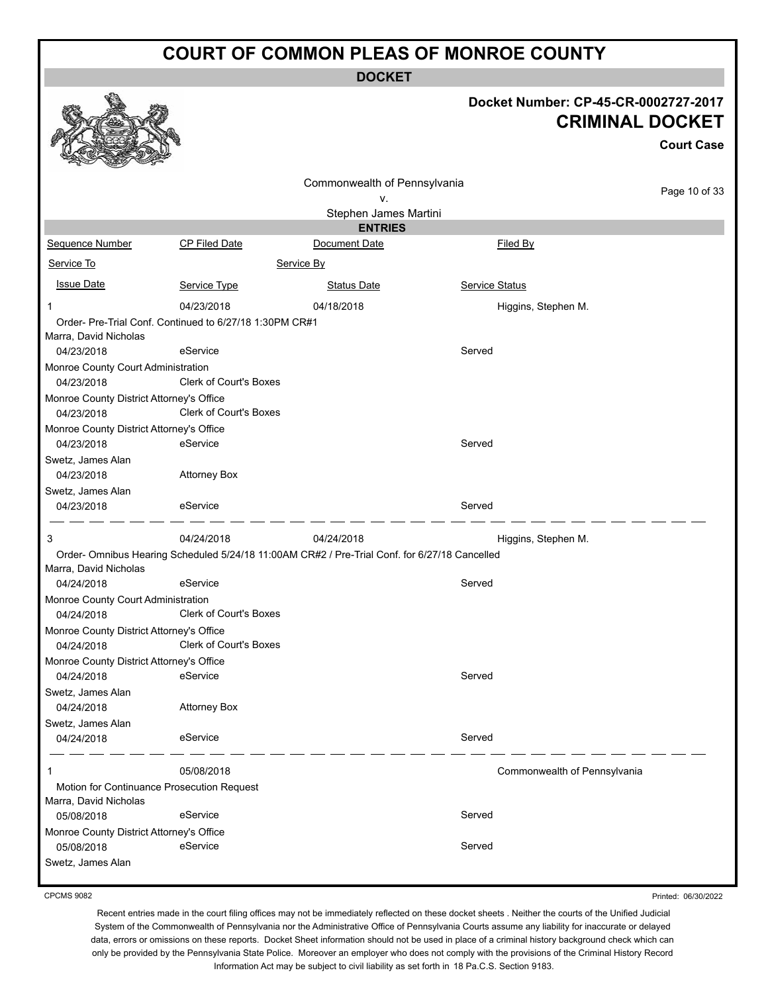**DOCKET**

#### **Docket Number: CP-45-CR-0002727-2017 CRIMINAL DOCKET**

**Court Case**

|                                                        |                                                         | Commonwealth of Pennsylvania                                                                  |                              |               |
|--------------------------------------------------------|---------------------------------------------------------|-----------------------------------------------------------------------------------------------|------------------------------|---------------|
|                                                        |                                                         | ٧.                                                                                            |                              | Page 10 of 33 |
|                                                        |                                                         | Stephen James Martini                                                                         |                              |               |
|                                                        |                                                         | <b>ENTRIES</b>                                                                                |                              |               |
| Sequence Number                                        | <b>CP Filed Date</b>                                    | Document Date                                                                                 | Filed By                     |               |
| Service To                                             |                                                         | Service By                                                                                    |                              |               |
| <b>Issue Date</b>                                      | Service Type                                            | <b>Status Date</b>                                                                            | <b>Service Status</b>        |               |
| 1                                                      | 04/23/2018                                              | 04/18/2018                                                                                    | Higgins, Stephen M.          |               |
|                                                        | Order- Pre-Trial Conf. Continued to 6/27/18 1:30PM CR#1 |                                                                                               |                              |               |
| Marra, David Nicholas                                  |                                                         |                                                                                               |                              |               |
| 04/23/2018                                             | eService                                                |                                                                                               | Served                       |               |
| Monroe County Court Administration                     |                                                         |                                                                                               |                              |               |
| 04/23/2018                                             | Clerk of Court's Boxes                                  |                                                                                               |                              |               |
| Monroe County District Attorney's Office               |                                                         |                                                                                               |                              |               |
| 04/23/2018                                             | Clerk of Court's Boxes                                  |                                                                                               |                              |               |
| Monroe County District Attorney's Office<br>04/23/2018 | eService                                                |                                                                                               | Served                       |               |
|                                                        |                                                         |                                                                                               |                              |               |
| Swetz, James Alan<br>04/23/2018                        | <b>Attorney Box</b>                                     |                                                                                               |                              |               |
|                                                        |                                                         |                                                                                               |                              |               |
| Swetz, James Alan<br>04/23/2018                        | eService                                                |                                                                                               | Served                       |               |
|                                                        |                                                         |                                                                                               |                              |               |
| 3                                                      | 04/24/2018                                              | 04/24/2018                                                                                    | Higgins, Stephen M.          |               |
|                                                        |                                                         | Order- Omnibus Hearing Scheduled 5/24/18 11:00AM CR#2 / Pre-Trial Conf. for 6/27/18 Cancelled |                              |               |
| Marra, David Nicholas                                  |                                                         |                                                                                               |                              |               |
| 04/24/2018                                             | eService                                                |                                                                                               | Served                       |               |
| Monroe County Court Administration                     |                                                         |                                                                                               |                              |               |
| 04/24/2018                                             | Clerk of Court's Boxes                                  |                                                                                               |                              |               |
| Monroe County District Attorney's Office               |                                                         |                                                                                               |                              |               |
| 04/24/2018                                             | <b>Clerk of Court's Boxes</b>                           |                                                                                               |                              |               |
| Monroe County District Attorney's Office               |                                                         |                                                                                               |                              |               |
| 04/24/2018                                             | eService                                                |                                                                                               | Served                       |               |
| Swetz, James Alan                                      |                                                         |                                                                                               |                              |               |
| 04/24/2018                                             | <b>Attorney Box</b>                                     |                                                                                               |                              |               |
| Swetz, James Alan                                      |                                                         |                                                                                               |                              |               |
| 04/24/2018                                             | eService                                                |                                                                                               | Served                       |               |
| 1                                                      | 05/08/2018                                              |                                                                                               | Commonwealth of Pennsylvania |               |
| Motion for Continuance Prosecution Request             |                                                         |                                                                                               |                              |               |
| Marra, David Nicholas                                  |                                                         |                                                                                               |                              |               |
| 05/08/2018                                             | eService                                                |                                                                                               | Served                       |               |
| Monroe County District Attorney's Office               |                                                         |                                                                                               |                              |               |
| 05/08/2018                                             | eService                                                |                                                                                               | Served                       |               |
| Swetz, James Alan                                      |                                                         |                                                                                               |                              |               |

CPCMS 9082

Printed: 06/30/2022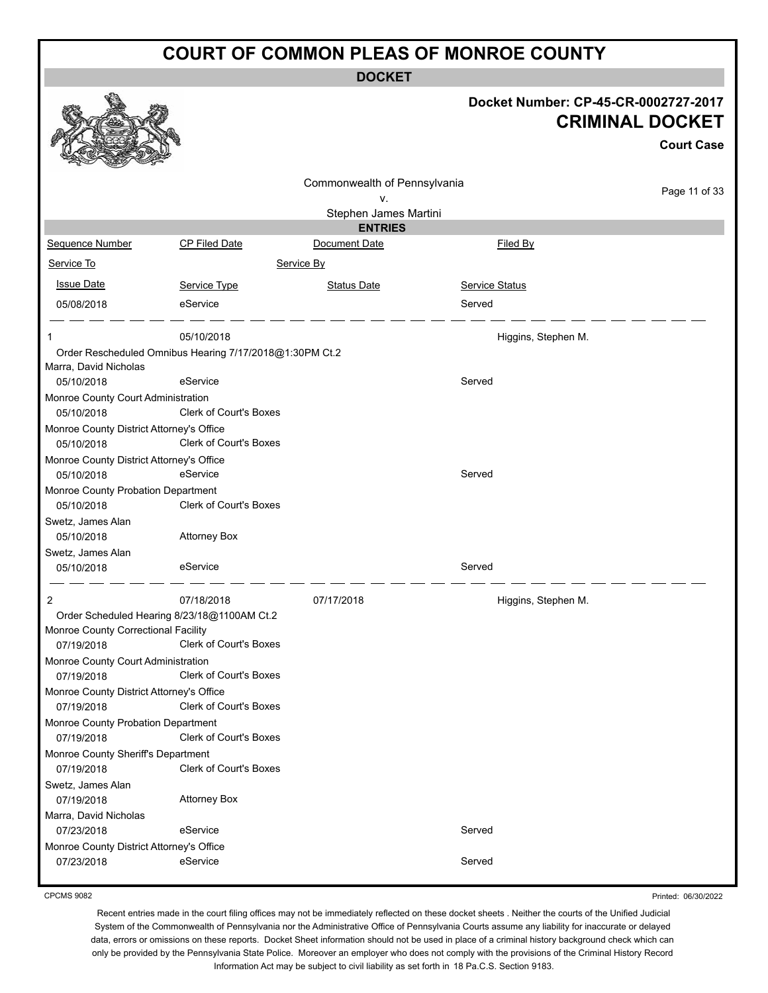**DOCKET**

|                                                         |                               |                              |                     | Docket Number: CP-45-CR-0002727-2017<br><b>CRIMINAL DOCKET</b> |
|---------------------------------------------------------|-------------------------------|------------------------------|---------------------|----------------------------------------------------------------|
|                                                         |                               |                              |                     | <b>Court Case</b>                                              |
|                                                         |                               |                              |                     |                                                                |
|                                                         |                               | Commonwealth of Pennsylvania |                     | Page 11 of 33                                                  |
|                                                         |                               | ٧.                           |                     |                                                                |
|                                                         |                               | Stephen James Martini        |                     |                                                                |
|                                                         |                               | <b>ENTRIES</b>               |                     |                                                                |
| Sequence Number                                         | <b>CP Filed Date</b>          | Document Date                | Filed By            |                                                                |
| Service To                                              |                               | Service By                   |                     |                                                                |
| <b>Issue Date</b>                                       | Service Type                  | <b>Status Date</b>           | Service Status      |                                                                |
| 05/08/2018                                              | eService                      |                              | Served              |                                                                |
|                                                         |                               |                              |                     |                                                                |
| 1                                                       | 05/10/2018                    |                              | Higgins, Stephen M. |                                                                |
| Order Rescheduled Omnibus Hearing 7/17/2018@1:30PM Ct.2 |                               |                              |                     |                                                                |
| Marra, David Nicholas<br>05/10/2018                     | eService                      |                              | Served              |                                                                |
| Monroe County Court Administration                      |                               |                              |                     |                                                                |
| 05/10/2018                                              | <b>Clerk of Court's Boxes</b> |                              |                     |                                                                |
| Monroe County District Attorney's Office<br>05/10/2018  | Clerk of Court's Boxes        |                              |                     |                                                                |
| Monroe County District Attorney's Office                |                               |                              |                     |                                                                |
| 05/10/2018                                              | eService                      |                              | Served              |                                                                |
| Monroe County Probation Department                      | Clerk of Court's Boxes        |                              |                     |                                                                |
| 05/10/2018<br>Swetz, James Alan                         |                               |                              |                     |                                                                |
| 05/10/2018                                              | <b>Attorney Box</b>           |                              |                     |                                                                |
| Swetz, James Alan                                       |                               |                              |                     |                                                                |
| 05/10/2018                                              | eService                      |                              | Served              |                                                                |
|                                                         |                               |                              |                     |                                                                |
| 2                                                       | 07/18/2018                    | 07/17/2018                   | Higgins, Stephen M. |                                                                |
| Order Scheduled Hearing 8/23/18@1100AM Ct.2             |                               |                              |                     |                                                                |
| Monroe County Correctional Facility                     |                               |                              |                     |                                                                |
| 07/19/2018                                              | Clerk of Court's Boxes        |                              |                     |                                                                |
| Monroe County Court Administration                      | <b>Clerk of Court's Boxes</b> |                              |                     |                                                                |
| 07/19/2018                                              |                               |                              |                     |                                                                |
| Monroe County District Attorney's Office<br>07/19/2018  | <b>Clerk of Court's Boxes</b> |                              |                     |                                                                |
| Monroe County Probation Department                      |                               |                              |                     |                                                                |
| 07/19/2018                                              | <b>Clerk of Court's Boxes</b> |                              |                     |                                                                |
| Monroe County Sheriff's Department                      |                               |                              |                     |                                                                |
| 07/19/2018                                              | <b>Clerk of Court's Boxes</b> |                              |                     |                                                                |
| Swetz, James Alan                                       |                               |                              |                     |                                                                |
| 07/19/2018                                              | <b>Attorney Box</b>           |                              |                     |                                                                |
| Marra, David Nicholas                                   |                               |                              |                     |                                                                |
| 07/23/2018                                              | eService                      |                              | Served              |                                                                |
| Monroe County District Attorney's Office<br>07/23/2018  | eService                      |                              | Served              |                                                                |
|                                                         |                               |                              |                     |                                                                |

CPCMS 9082

Printed: 06/30/2022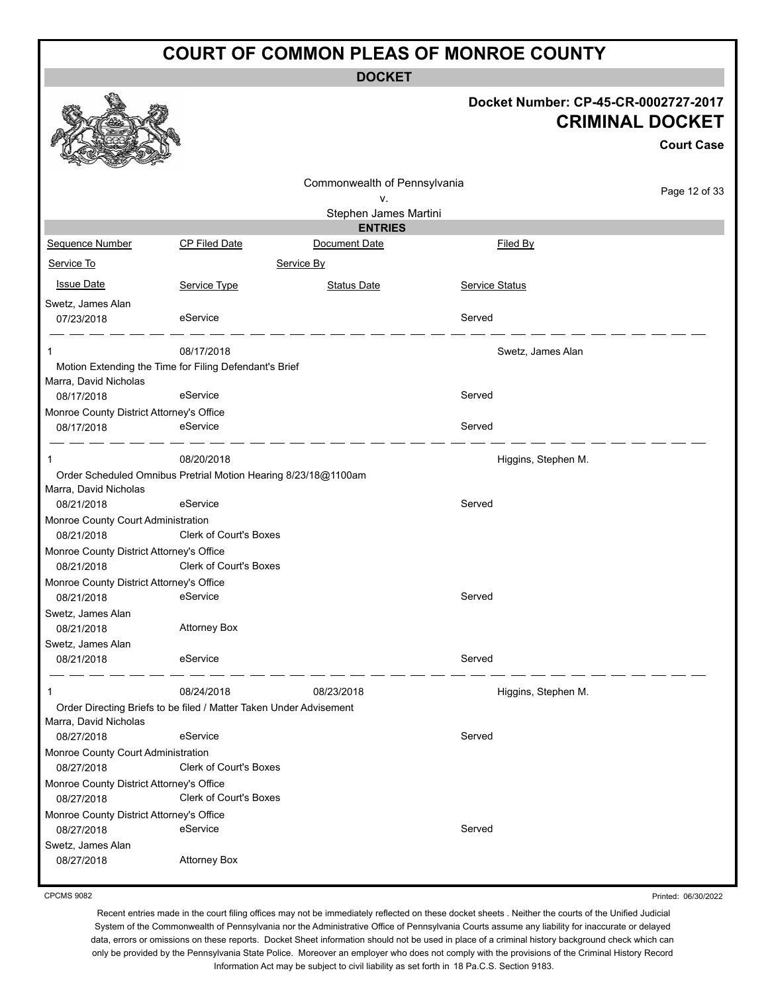**DOCKET**

|                                                        |                                                                    |                              | Docket Number: CP-45-CR-0002727-2017 | <b>CRIMINAL DOCKET</b><br><b>Court Case</b> |
|--------------------------------------------------------|--------------------------------------------------------------------|------------------------------|--------------------------------------|---------------------------------------------|
|                                                        |                                                                    | Commonwealth of Pennsylvania |                                      | Page 12 of 33                               |
|                                                        |                                                                    | ۷.<br>Stephen James Martini  |                                      |                                             |
|                                                        |                                                                    | <b>ENTRIES</b>               |                                      |                                             |
| Sequence Number                                        | <b>CP Filed Date</b>                                               | Document Date                | Filed By                             |                                             |
| Service To                                             |                                                                    | Service By                   |                                      |                                             |
| <b>Issue Date</b>                                      | Service Type                                                       | <b>Status Date</b>           | <b>Service Status</b>                |                                             |
| Swetz, James Alan                                      |                                                                    |                              |                                      |                                             |
| 07/23/2018                                             | eService                                                           |                              | Served                               |                                             |
| 1                                                      | 08/17/2018                                                         |                              | Swetz, James Alan                    |                                             |
|                                                        | Motion Extending the Time for Filing Defendant's Brief             |                              |                                      |                                             |
| Marra, David Nicholas<br>08/17/2018                    | eService                                                           |                              | Served                               |                                             |
| Monroe County District Attorney's Office               |                                                                    |                              |                                      |                                             |
| 08/17/2018                                             | eService                                                           |                              | Served                               |                                             |
| $\mathbf 1$                                            | 08/20/2018                                                         |                              | Higgins, Stephen M.                  |                                             |
|                                                        | Order Scheduled Omnibus Pretrial Motion Hearing 8/23/18@1100am     |                              |                                      |                                             |
| Marra, David Nicholas<br>08/21/2018                    | eService                                                           |                              | Served                               |                                             |
| Monroe County Court Administration                     |                                                                    |                              |                                      |                                             |
| 08/21/2018                                             | Clerk of Court's Boxes                                             |                              |                                      |                                             |
| Monroe County District Attorney's Office<br>08/21/2018 | Clerk of Court's Boxes                                             |                              |                                      |                                             |
| Monroe County District Attorney's Office<br>08/21/2018 | eService                                                           |                              | Served                               |                                             |
| Swetz, James Alan<br>08/21/2018                        | <b>Attorney Box</b>                                                |                              |                                      |                                             |
| Swetz, James Alan                                      |                                                                    |                              |                                      |                                             |
| 08/21/2018                                             | eService                                                           |                              | Served                               |                                             |
| -1                                                     | 08/24/2018                                                         | 08/23/2018                   | Higgins, Stephen M.                  |                                             |
| Marra, David Nicholas                                  | Order Directing Briefs to be filed / Matter Taken Under Advisement |                              |                                      |                                             |
| 08/27/2018<br>Monroe County Court Administration       | eService                                                           |                              | Served                               |                                             |
| 08/27/2018                                             | <b>Clerk of Court's Boxes</b>                                      |                              |                                      |                                             |
| Monroe County District Attorney's Office<br>08/27/2018 | Clerk of Court's Boxes                                             |                              |                                      |                                             |
| Monroe County District Attorney's Office<br>08/27/2018 | eService                                                           |                              | Served                               |                                             |
| Swetz, James Alan                                      |                                                                    |                              |                                      |                                             |
| 08/27/2018                                             | <b>Attorney Box</b>                                                |                              |                                      |                                             |

CPCMS 9082

Printed: 06/30/2022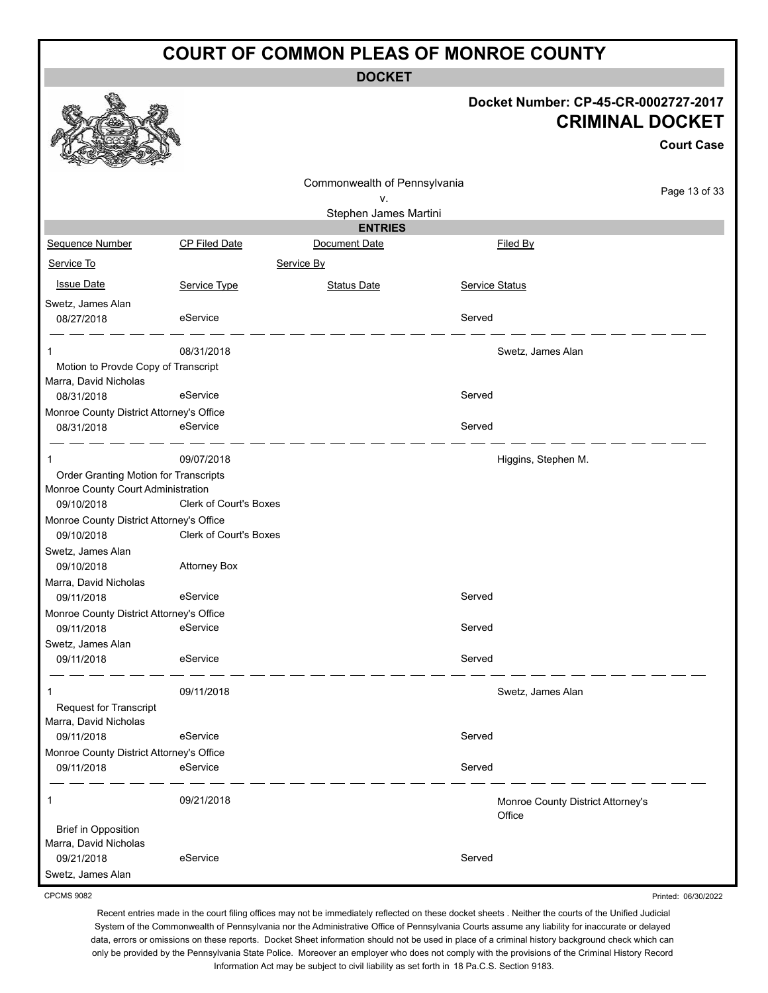**DOCKET**

|                                                                             |                               |                              |                | Docket Number: CP-45-CR-0002727-2017<br><b>CRIMINAL DOCKET</b><br><b>Court Case</b> |
|-----------------------------------------------------------------------------|-------------------------------|------------------------------|----------------|-------------------------------------------------------------------------------------|
|                                                                             |                               | Commonwealth of Pennsylvania |                | Page 13 of 33                                                                       |
|                                                                             |                               | ٧.<br>Stephen James Martini  |                |                                                                                     |
|                                                                             |                               | <b>ENTRIES</b>               |                |                                                                                     |
| Sequence Number                                                             | CP Filed Date                 | Document Date                |                | Filed By                                                                            |
| Service To                                                                  |                               | Service By                   |                |                                                                                     |
| <b>Issue Date</b>                                                           | Service Type                  | <b>Status Date</b>           | Service Status |                                                                                     |
| Swetz, James Alan                                                           |                               |                              |                |                                                                                     |
| 08/27/2018                                                                  | eService                      |                              | Served         |                                                                                     |
|                                                                             | 08/31/2018                    |                              |                | Swetz, James Alan                                                                   |
| Motion to Provde Copy of Transcript<br>Marra, David Nicholas                |                               |                              |                |                                                                                     |
| 08/31/2018                                                                  | eService                      |                              | Served         |                                                                                     |
| Monroe County District Attorney's Office                                    |                               |                              |                |                                                                                     |
| 08/31/2018                                                                  | eService                      |                              | Served         |                                                                                     |
| 1                                                                           | 09/07/2018                    |                              |                | Higgins, Stephen M.                                                                 |
| Order Granting Motion for Transcripts<br>Monroe County Court Administration |                               |                              |                |                                                                                     |
| 09/10/2018                                                                  | <b>Clerk of Court's Boxes</b> |                              |                |                                                                                     |
| Monroe County District Attorney's Office<br>09/10/2018                      | <b>Clerk of Court's Boxes</b> |                              |                |                                                                                     |
| Swetz, James Alan<br>09/10/2018                                             | <b>Attorney Box</b>           |                              |                |                                                                                     |
| Marra, David Nicholas<br>09/11/2018                                         | eService                      |                              | Served         |                                                                                     |
| Monroe County District Attorney's Office                                    |                               |                              |                |                                                                                     |
| 09/11/2018                                                                  | eService                      |                              | Served         |                                                                                     |
| Swetz, James Alan                                                           |                               |                              |                |                                                                                     |
| 09/11/2018                                                                  | eService                      |                              | Served         |                                                                                     |
| 1                                                                           | 09/11/2018                    |                              |                | Swetz, James Alan                                                                   |
| <b>Request for Transcript</b>                                               |                               |                              |                |                                                                                     |
| Marra, David Nicholas                                                       |                               |                              |                |                                                                                     |
| 09/11/2018<br>Monroe County District Attorney's Office                      | eService                      |                              | Served         |                                                                                     |
| 09/11/2018                                                                  | eService                      |                              | Served         |                                                                                     |
| 1                                                                           | 09/21/2018                    |                              |                | Monroe County District Attorney's<br>Office                                         |
| <b>Brief in Opposition</b>                                                  |                               |                              |                |                                                                                     |
| Marra, David Nicholas<br>09/21/2018                                         | eService                      |                              | Served         |                                                                                     |
| Swetz, James Alan                                                           |                               |                              |                |                                                                                     |

CPCMS 9082

Printed: 06/30/2022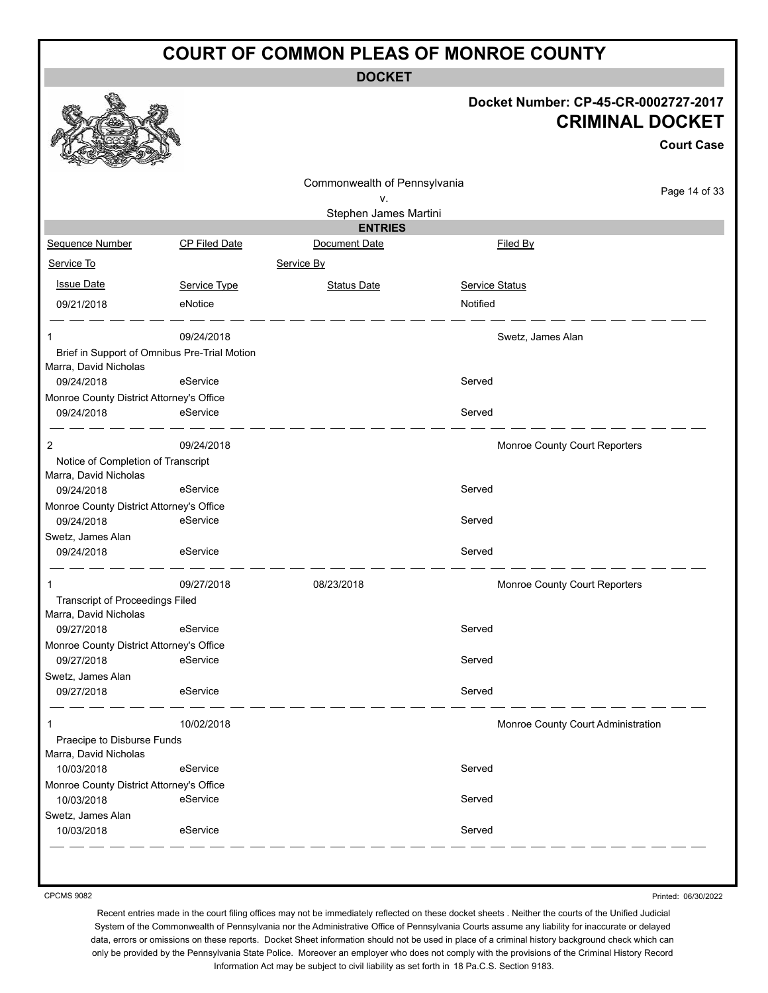**DOCKET**

#### **Docket Number: CP-45-CR-0002727-2017 CRIMINAL DOCKET**

**Court Case**

|                                                                       |                      | Commonwealth of Pennsylvania |                                    |               |
|-----------------------------------------------------------------------|----------------------|------------------------------|------------------------------------|---------------|
|                                                                       |                      | ν.                           |                                    | Page 14 of 33 |
|                                                                       |                      | Stephen James Martini        |                                    |               |
|                                                                       |                      | <b>ENTRIES</b>               |                                    |               |
| Sequence Number                                                       | <b>CP Filed Date</b> | Document Date                | Filed By                           |               |
| Service To                                                            |                      | Service By                   |                                    |               |
| <b>Issue Date</b>                                                     | Service Type         | <b>Status Date</b>           | Service Status                     |               |
| 09/21/2018                                                            | eNotice              |                              | Notified                           |               |
|                                                                       | 09/24/2018           |                              | Swetz, James Alan                  |               |
| Brief in Support of Omnibus Pre-Trial Motion<br>Marra, David Nicholas |                      |                              |                                    |               |
| 09/24/2018                                                            | eService             |                              | Served                             |               |
| Monroe County District Attorney's Office                              |                      |                              |                                    |               |
| 09/24/2018                                                            | eService             |                              | Served                             |               |
| 2                                                                     | 09/24/2018           |                              | Monroe County Court Reporters      |               |
| Notice of Completion of Transcript<br>Marra, David Nicholas           |                      |                              |                                    |               |
| 09/24/2018                                                            | eService             |                              | Served                             |               |
| Monroe County District Attorney's Office                              |                      |                              |                                    |               |
| 09/24/2018                                                            | eService             |                              | Served                             |               |
| Swetz, James Alan<br>09/24/2018                                       | eService             |                              | Served                             |               |
|                                                                       |                      |                              |                                    |               |
| 1                                                                     | 09/27/2018           | 08/23/2018                   | Monroe County Court Reporters      |               |
| <b>Transcript of Proceedings Filed</b><br>Marra, David Nicholas       |                      |                              |                                    |               |
| 09/27/2018                                                            | eService             |                              | Served                             |               |
| Monroe County District Attorney's Office                              |                      |                              |                                    |               |
| 09/27/2018                                                            | eService             |                              | Served                             |               |
| Swetz, James Alan                                                     |                      |                              |                                    |               |
| 09/27/2018                                                            | eService             |                              | Served                             |               |
| 1                                                                     | 10/02/2018           |                              | Monroe County Court Administration |               |
| Praecipe to Disburse Funds                                            |                      |                              |                                    |               |
| Marra, David Nicholas                                                 |                      |                              |                                    |               |
| 10/03/2018                                                            | eService             |                              | Served                             |               |
| Monroe County District Attorney's Office                              |                      |                              |                                    |               |
| 10/03/2018                                                            | eService             |                              | Served                             |               |
| Swetz, James Alan<br>10/03/2018                                       | eService             |                              | Served                             |               |
|                                                                       |                      |                              |                                    |               |

CPCMS 9082

Printed: 06/30/2022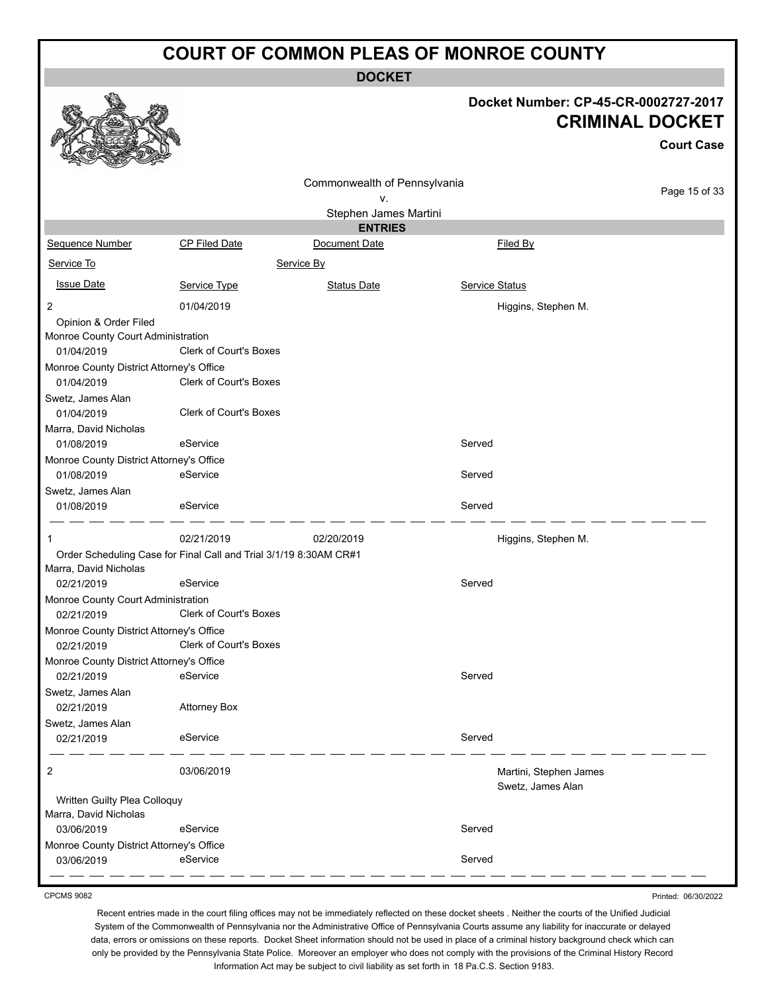**DOCKET**

#### **Docket Number: CP-45-CR-0002727-2017 CRIMINAL DOCKET**

**Court Case**

|                                          |                                                                   |                              |                |                        | Court Case    |
|------------------------------------------|-------------------------------------------------------------------|------------------------------|----------------|------------------------|---------------|
|                                          |                                                                   | Commonwealth of Pennsylvania |                |                        |               |
|                                          |                                                                   | ٧.                           |                |                        | Page 15 of 33 |
|                                          |                                                                   | Stephen James Martini        |                |                        |               |
|                                          |                                                                   | <b>ENTRIES</b>               |                |                        |               |
| Sequence Number                          | CP Filed Date                                                     | Document Date                |                | Filed By               |               |
| Service To                               |                                                                   | Service By                   |                |                        |               |
| <b>Issue Date</b>                        | Service Type                                                      | <b>Status Date</b>           | Service Status |                        |               |
| 2                                        | 01/04/2019                                                        |                              |                | Higgins, Stephen M.    |               |
| Opinion & Order Filed                    |                                                                   |                              |                |                        |               |
| Monroe County Court Administration       |                                                                   |                              |                |                        |               |
| 01/04/2019                               | Clerk of Court's Boxes                                            |                              |                |                        |               |
| Monroe County District Attorney's Office |                                                                   |                              |                |                        |               |
| 01/04/2019                               | <b>Clerk of Court's Boxes</b>                                     |                              |                |                        |               |
| Swetz, James Alan                        |                                                                   |                              |                |                        |               |
| 01/04/2019                               | <b>Clerk of Court's Boxes</b>                                     |                              |                |                        |               |
| Marra, David Nicholas                    |                                                                   |                              |                |                        |               |
| 01/08/2019                               | eService                                                          |                              | Served         |                        |               |
| Monroe County District Attorney's Office |                                                                   |                              |                |                        |               |
| 01/08/2019                               | eService                                                          |                              | Served         |                        |               |
| Swetz, James Alan                        |                                                                   |                              |                |                        |               |
| 01/08/2019                               | eService                                                          |                              | Served         |                        |               |
| 1                                        | 02/21/2019                                                        | 02/20/2019                   |                | Higgins, Stephen M.    |               |
|                                          | Order Scheduling Case for Final Call and Trial 3/1/19 8:30AM CR#1 |                              |                |                        |               |
| Marra, David Nicholas                    |                                                                   |                              |                |                        |               |
| 02/21/2019                               | eService                                                          |                              | Served         |                        |               |
| Monroe County Court Administration       |                                                                   |                              |                |                        |               |
| 02/21/2019                               | Clerk of Court's Boxes                                            |                              |                |                        |               |
| Monroe County District Attorney's Office |                                                                   |                              |                |                        |               |
| 02/21/2019                               | Clerk of Court's Boxes                                            |                              |                |                        |               |
| Monroe County District Attorney's Office |                                                                   |                              |                |                        |               |
| 02/21/2019                               | eService                                                          |                              | Served         |                        |               |
| Swetz, James Alan                        |                                                                   |                              |                |                        |               |
| 02/21/2019                               | <b>Attorney Box</b>                                               |                              |                |                        |               |
| Swetz, James Alan                        |                                                                   |                              |                |                        |               |
| 02/21/2019                               | eService                                                          |                              | Served         |                        |               |
|                                          |                                                                   |                              |                |                        |               |
| 2                                        | 03/06/2019                                                        |                              |                | Martini, Stephen James |               |
|                                          |                                                                   |                              |                | Swetz, James Alan      |               |
| Written Guilty Plea Colloquy             |                                                                   |                              |                |                        |               |
| Marra, David Nicholas                    | eService                                                          |                              | Served         |                        |               |
| 03/06/2019                               |                                                                   |                              |                |                        |               |
| Monroe County District Attorney's Office | eService                                                          |                              | Served         |                        |               |
| 03/06/2019                               |                                                                   |                              |                |                        |               |

CPCMS 9082

Printed: 06/30/2022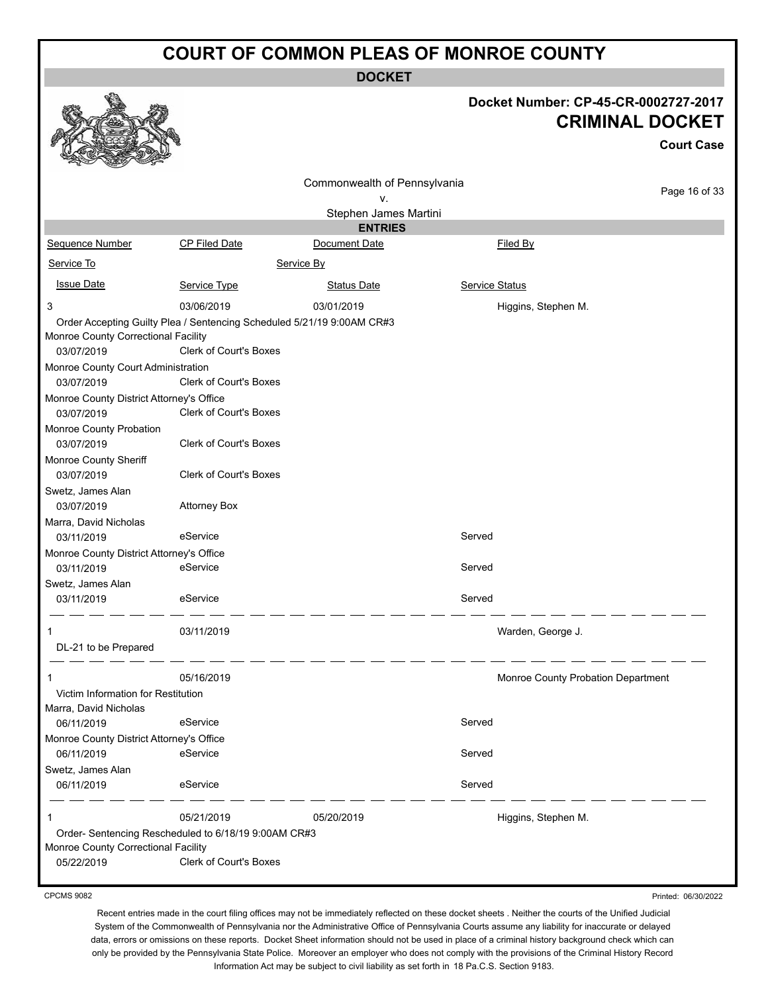**DOCKET**

|                                                                                                                                                                                                                                                                                    |                                                                                                                                                                                                                                                             | DUUNE I                         |                                                                |                   |
|------------------------------------------------------------------------------------------------------------------------------------------------------------------------------------------------------------------------------------------------------------------------------------|-------------------------------------------------------------------------------------------------------------------------------------------------------------------------------------------------------------------------------------------------------------|---------------------------------|----------------------------------------------------------------|-------------------|
|                                                                                                                                                                                                                                                                                    |                                                                                                                                                                                                                                                             |                                 | Docket Number: CP-45-CR-0002727-2017<br><b>CRIMINAL DOCKET</b> | <b>Court Case</b> |
|                                                                                                                                                                                                                                                                                    |                                                                                                                                                                                                                                                             | Commonwealth of Pennsylvania    |                                                                | Page 16 of 33     |
|                                                                                                                                                                                                                                                                                    |                                                                                                                                                                                                                                                             | v.                              |                                                                |                   |
|                                                                                                                                                                                                                                                                                    |                                                                                                                                                                                                                                                             | Stephen James Martini           |                                                                |                   |
| Sequence Number                                                                                                                                                                                                                                                                    | <b>CP Filed Date</b>                                                                                                                                                                                                                                        | <b>ENTRIES</b><br>Document Date | Filed By                                                       |                   |
| Service To                                                                                                                                                                                                                                                                         |                                                                                                                                                                                                                                                             |                                 |                                                                |                   |
|                                                                                                                                                                                                                                                                                    |                                                                                                                                                                                                                                                             | Service By                      |                                                                |                   |
| <b>Issue Date</b>                                                                                                                                                                                                                                                                  | Service Type                                                                                                                                                                                                                                                | <b>Status Date</b>              | <b>Service Status</b>                                          |                   |
| 3                                                                                                                                                                                                                                                                                  | 03/06/2019                                                                                                                                                                                                                                                  | 03/01/2019                      | Higgins, Stephen M.                                            |                   |
| Monroe County Correctional Facility<br>03/07/2019<br>Monroe County Court Administration<br>03/07/2019<br>Monroe County District Attorney's Office<br>03/07/2019<br>Monroe County Probation<br>03/07/2019<br>Monroe County Sheriff<br>03/07/2019<br>Swetz, James Alan<br>03/07/2019 | Order Accepting Guilty Plea / Sentencing Scheduled 5/21/19 9:00AM CR#3<br>Clerk of Court's Boxes<br><b>Clerk of Court's Boxes</b><br><b>Clerk of Court's Boxes</b><br><b>Clerk of Court's Boxes</b><br><b>Clerk of Court's Boxes</b><br><b>Attorney Box</b> |                                 |                                                                |                   |
| Marra, David Nicholas                                                                                                                                                                                                                                                              |                                                                                                                                                                                                                                                             |                                 |                                                                |                   |
| 03/11/2019                                                                                                                                                                                                                                                                         | eService                                                                                                                                                                                                                                                    |                                 | Served                                                         |                   |
| Monroe County District Attorney's Office                                                                                                                                                                                                                                           |                                                                                                                                                                                                                                                             |                                 |                                                                |                   |
| 03/11/2019                                                                                                                                                                                                                                                                         | eService                                                                                                                                                                                                                                                    |                                 | Served                                                         |                   |
| Swetz, James Alan                                                                                                                                                                                                                                                                  |                                                                                                                                                                                                                                                             |                                 |                                                                |                   |
| 03/11/2019                                                                                                                                                                                                                                                                         | eService                                                                                                                                                                                                                                                    |                                 | Served                                                         |                   |
| DL-21 to be Prepared                                                                                                                                                                                                                                                               | 03/11/2019                                                                                                                                                                                                                                                  |                                 | Warden, George J.                                              |                   |
| 1                                                                                                                                                                                                                                                                                  | 05/16/2019                                                                                                                                                                                                                                                  |                                 | Monroe County Probation Department                             |                   |
| Victim Information for Restitution                                                                                                                                                                                                                                                 |                                                                                                                                                                                                                                                             |                                 |                                                                |                   |
| Marra, David Nicholas                                                                                                                                                                                                                                                              |                                                                                                                                                                                                                                                             |                                 |                                                                |                   |
| 06/11/2019                                                                                                                                                                                                                                                                         | eService                                                                                                                                                                                                                                                    |                                 | Served                                                         |                   |
| Monroe County District Attorney's Office                                                                                                                                                                                                                                           |                                                                                                                                                                                                                                                             |                                 |                                                                |                   |
| 06/11/2019                                                                                                                                                                                                                                                                         | eService                                                                                                                                                                                                                                                    |                                 | Served                                                         |                   |
| Swetz, James Alan                                                                                                                                                                                                                                                                  |                                                                                                                                                                                                                                                             |                                 |                                                                |                   |
| 06/11/2019                                                                                                                                                                                                                                                                         | eService                                                                                                                                                                                                                                                    |                                 | Served                                                         |                   |
| Monroe County Correctional Facility                                                                                                                                                                                                                                                | 05/21/2019<br>Order- Sentencing Rescheduled to 6/18/19 9:00AM CR#3<br><b>Clerk of Court's Boxes</b>                                                                                                                                                         | 05/20/2019                      | Higgins, Stephen M.                                            |                   |
| 05/22/2019                                                                                                                                                                                                                                                                         |                                                                                                                                                                                                                                                             |                                 |                                                                |                   |

CPCMS 9082

Printed: 06/30/2022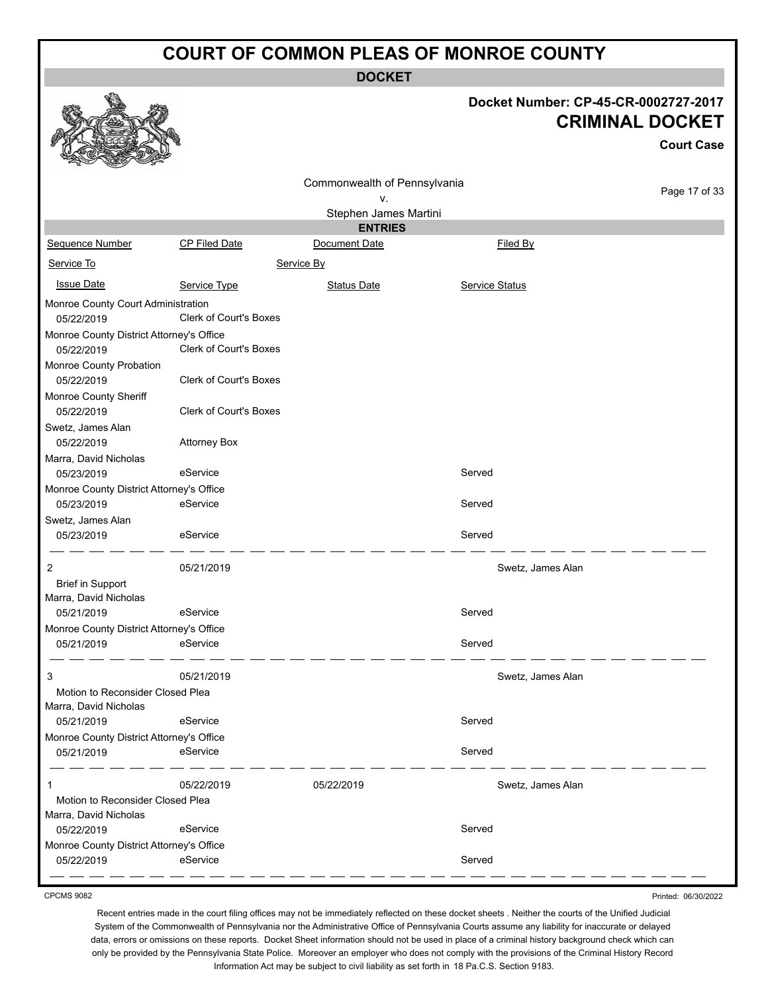**DOCKET**

|                                                           |                               | ו שטש                        |                       |                                                                                     |
|-----------------------------------------------------------|-------------------------------|------------------------------|-----------------------|-------------------------------------------------------------------------------------|
|                                                           |                               |                              |                       | Docket Number: CP-45-CR-0002727-2017<br><b>CRIMINAL DOCKET</b><br><b>Court Case</b> |
|                                                           |                               | Commonwealth of Pennsylvania |                       |                                                                                     |
|                                                           |                               | v.                           |                       | Page 17 of 33                                                                       |
|                                                           |                               | Stephen James Martini        |                       |                                                                                     |
|                                                           |                               | <b>ENTRIES</b>               |                       |                                                                                     |
| Sequence Number                                           | <b>CP Filed Date</b>          | Document Date                | Filed By              |                                                                                     |
| Service To                                                |                               | Service By                   |                       |                                                                                     |
| <b>Issue Date</b>                                         | Service Type                  | <b>Status Date</b>           | <b>Service Status</b> |                                                                                     |
| Monroe County Court Administration<br>05/22/2019          | Clerk of Court's Boxes        |                              |                       |                                                                                     |
| Monroe County District Attorney's Office                  |                               |                              |                       |                                                                                     |
| 05/22/2019                                                | <b>Clerk of Court's Boxes</b> |                              |                       |                                                                                     |
| Monroe County Probation<br>05/22/2019                     | Clerk of Court's Boxes        |                              |                       |                                                                                     |
| Monroe County Sheriff<br>05/22/2019                       | Clerk of Court's Boxes        |                              |                       |                                                                                     |
| Swetz, James Alan                                         |                               |                              |                       |                                                                                     |
| 05/22/2019                                                | <b>Attorney Box</b>           |                              |                       |                                                                                     |
| Marra, David Nicholas                                     |                               |                              |                       |                                                                                     |
| 05/23/2019                                                | eService                      |                              | Served                |                                                                                     |
| Monroe County District Attorney's Office                  |                               |                              |                       |                                                                                     |
| 05/23/2019                                                | eService                      |                              | Served                |                                                                                     |
| Swetz, James Alan                                         |                               |                              |                       |                                                                                     |
| 05/23/2019                                                | eService                      |                              | Served                |                                                                                     |
| 2                                                         | 05/21/2019                    |                              | Swetz, James Alan     |                                                                                     |
| <b>Brief in Support</b>                                   |                               |                              |                       |                                                                                     |
| Marra, David Nicholas<br>05/21/2019                       | eService                      |                              | Served                |                                                                                     |
| Monroe County District Attorney's Office                  |                               |                              |                       |                                                                                     |
| 05/21/2019                                                | eService                      |                              | Served                |                                                                                     |
| 3                                                         | 05/21/2019                    |                              | Swetz, James Alan     |                                                                                     |
| Motion to Reconsider Closed Plea                          |                               |                              |                       |                                                                                     |
| Marra, David Nicholas                                     |                               |                              |                       |                                                                                     |
| 05/21/2019                                                | eService                      |                              | Served                |                                                                                     |
| Monroe County District Attorney's Office                  |                               |                              |                       |                                                                                     |
| 05/21/2019                                                | eService                      |                              | Served                |                                                                                     |
| 1                                                         | 05/22/2019                    | 05/22/2019                   | Swetz, James Alan     |                                                                                     |
| Motion to Reconsider Closed Plea<br>Marra, David Nicholas |                               |                              |                       |                                                                                     |
| 05/22/2019                                                | eService                      |                              | Served                |                                                                                     |
| Monroe County District Attorney's Office                  |                               |                              |                       |                                                                                     |
| 05/22/2019                                                | eService                      |                              | Served                |                                                                                     |

CPCMS 9082

Printed: 06/30/2022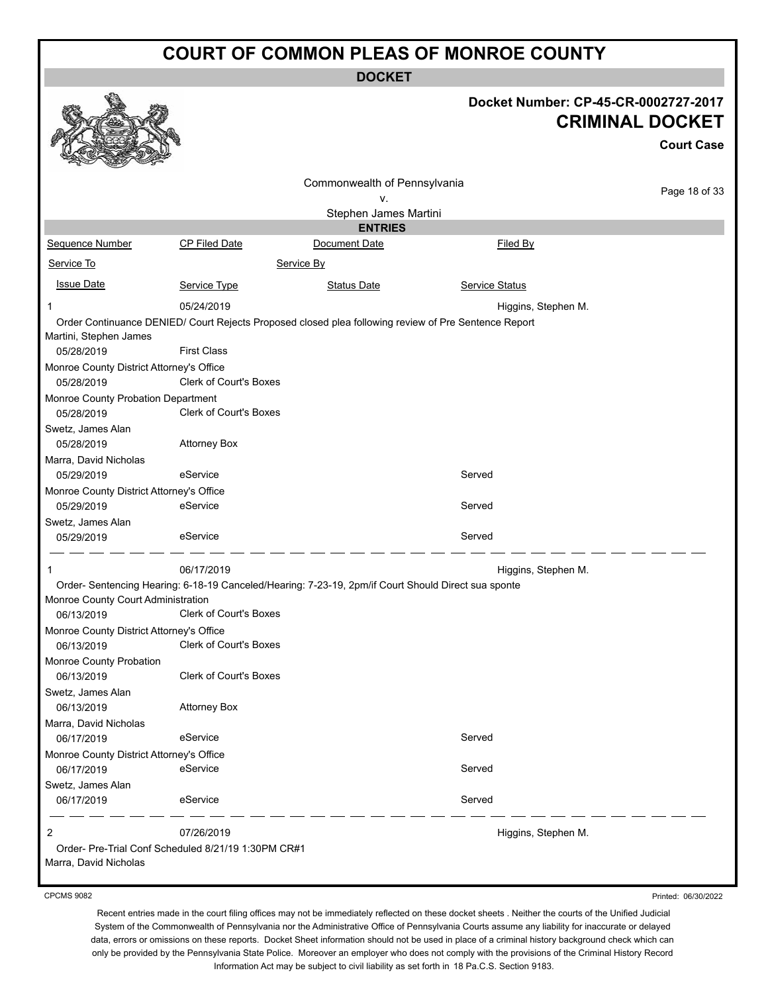**DOCKET**

|                                                                                  |                               |                                                                                                      | Docket Number: CP-45-CR-0002727-2017 | <b>CRIMINAL DOCKET</b><br><b>Court Case</b> |
|----------------------------------------------------------------------------------|-------------------------------|------------------------------------------------------------------------------------------------------|--------------------------------------|---------------------------------------------|
|                                                                                  |                               | Commonwealth of Pennsylvania                                                                         |                                      | Page 18 of 33                               |
|                                                                                  |                               | ۷.<br>Stephen James Martini                                                                          |                                      |                                             |
|                                                                                  |                               | <b>ENTRIES</b>                                                                                       |                                      |                                             |
| Sequence Number                                                                  | CP Filed Date                 | Document Date                                                                                        | Filed By                             |                                             |
| Service To                                                                       |                               | Service By                                                                                           |                                      |                                             |
| <b>Issue Date</b>                                                                | Service Type                  | <b>Status Date</b>                                                                                   | <b>Service Status</b>                |                                             |
| -1                                                                               | 05/24/2019                    |                                                                                                      | Higgins, Stephen M.                  |                                             |
| Martini, Stephen James<br>05/28/2019<br>Monroe County District Attorney's Office | <b>First Class</b>            | Order Continuance DENIED/ Court Rejects Proposed closed plea following review of Pre Sentence Report |                                      |                                             |
| 05/28/2019                                                                       | <b>Clerk of Court's Boxes</b> |                                                                                                      |                                      |                                             |
| Monroe County Probation Department<br>05/28/2019                                 | <b>Clerk of Court's Boxes</b> |                                                                                                      |                                      |                                             |
| Swetz, James Alan<br>05/28/2019                                                  | <b>Attorney Box</b>           |                                                                                                      |                                      |                                             |
| Marra, David Nicholas<br>05/29/2019                                              | eService                      |                                                                                                      | Served                               |                                             |
| Monroe County District Attorney's Office                                         |                               |                                                                                                      |                                      |                                             |
| 05/29/2019                                                                       | eService                      |                                                                                                      | Served                               |                                             |
| Swetz, James Alan                                                                |                               |                                                                                                      |                                      |                                             |
| 05/29/2019                                                                       | eService                      |                                                                                                      | Served                               |                                             |
| 1                                                                                | 06/17/2019                    |                                                                                                      | Higgins, Stephen M.                  |                                             |
|                                                                                  |                               | Order- Sentencing Hearing: 6-18-19 Canceled/Hearing: 7-23-19, 2pm/if Court Should Direct sua sponte  |                                      |                                             |
| Monroe County Court Administration<br>06/13/2019                                 | Clerk of Court's Boxes        |                                                                                                      |                                      |                                             |
| Monroe County District Attorney's Office                                         |                               |                                                                                                      |                                      |                                             |
| 06/13/2019 Clerk of Court's Boxes                                                |                               |                                                                                                      |                                      |                                             |
| Monroe County Probation                                                          |                               |                                                                                                      |                                      |                                             |
| 06/13/2019                                                                       | <b>Clerk of Court's Boxes</b> |                                                                                                      |                                      |                                             |
| Swetz, James Alan<br>06/13/2019                                                  | <b>Attorney Box</b>           |                                                                                                      |                                      |                                             |
| Marra, David Nicholas<br>06/17/2019                                              | eService                      |                                                                                                      | Served                               |                                             |
| Monroe County District Attorney's Office                                         |                               |                                                                                                      |                                      |                                             |
| 06/17/2019                                                                       | eService                      |                                                                                                      | Served                               |                                             |
| Swetz, James Alan<br>06/17/2019                                                  | eService                      |                                                                                                      | Served                               |                                             |
| $\overline{2}$                                                                   | 07/26/2019                    |                                                                                                      | Higgins, Stephen M.                  |                                             |
| Order- Pre-Trial Conf Scheduled 8/21/19 1:30PM CR#1<br>Marra, David Nicholas     |                               |                                                                                                      |                                      |                                             |

CPCMS 9082

Printed: 06/30/2022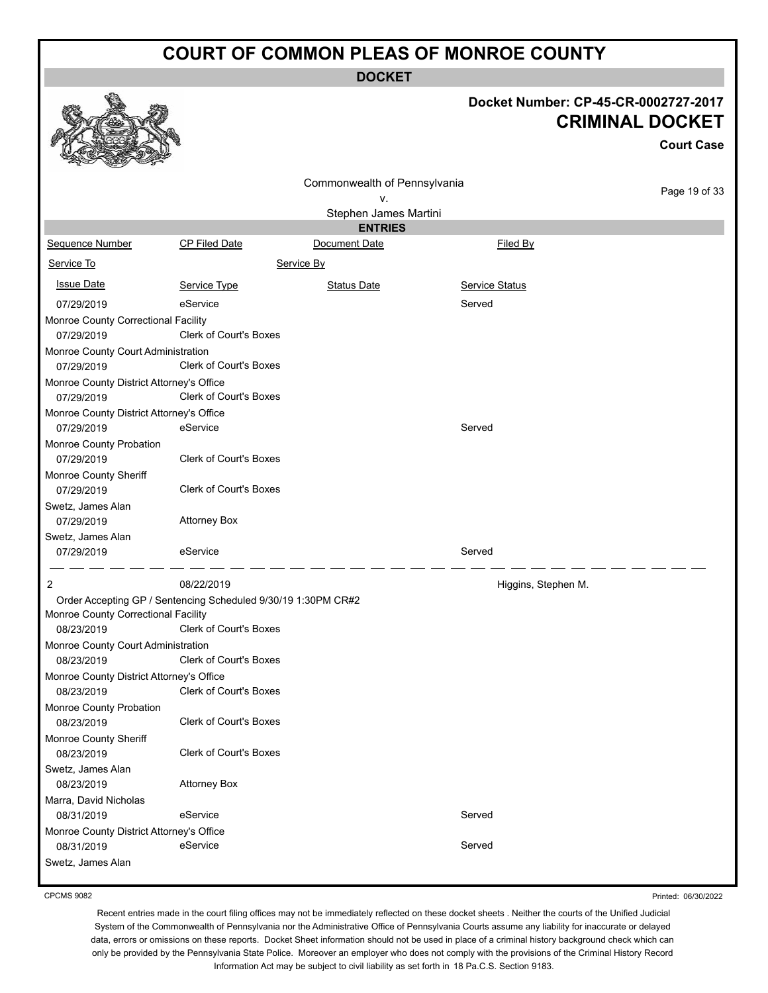|                                                        |                                                                                                | <b>DOCKET</b>                           |                                      |                                             |
|--------------------------------------------------------|------------------------------------------------------------------------------------------------|-----------------------------------------|--------------------------------------|---------------------------------------------|
|                                                        |                                                                                                |                                         | Docket Number: CP-45-CR-0002727-2017 | <b>CRIMINAL DOCKET</b><br><b>Court Case</b> |
|                                                        |                                                                                                | Commonwealth of Pennsylvania            |                                      |                                             |
|                                                        |                                                                                                | ν.                                      |                                      | Page 19 of 33                               |
|                                                        |                                                                                                | Stephen James Martini<br><b>ENTRIES</b> |                                      |                                             |
| Sequence Number                                        | CP Filed Date                                                                                  | Document Date                           | Filed By                             |                                             |
|                                                        |                                                                                                |                                         |                                      |                                             |
| Service To                                             |                                                                                                | Service By                              |                                      |                                             |
| <b>Issue Date</b>                                      | Service Type                                                                                   | <b>Status Date</b>                      | Service Status                       |                                             |
| 07/29/2019                                             | eService                                                                                       |                                         | Served                               |                                             |
| Monroe County Correctional Facility<br>07/29/2019      | Clerk of Court's Boxes                                                                         |                                         |                                      |                                             |
| Monroe County Court Administration<br>07/29/2019       | <b>Clerk of Court's Boxes</b>                                                                  |                                         |                                      |                                             |
| Monroe County District Attorney's Office<br>07/29/2019 | Clerk of Court's Boxes                                                                         |                                         |                                      |                                             |
| Monroe County District Attorney's Office<br>07/29/2019 | eService                                                                                       |                                         | Served                               |                                             |
| Monroe County Probation<br>07/29/2019                  | <b>Clerk of Court's Boxes</b>                                                                  |                                         |                                      |                                             |
| Monroe County Sheriff<br>07/29/2019                    | <b>Clerk of Court's Boxes</b>                                                                  |                                         |                                      |                                             |
| Swetz, James Alan                                      |                                                                                                |                                         |                                      |                                             |
| 07/29/2019                                             | <b>Attorney Box</b>                                                                            |                                         |                                      |                                             |
| Swetz, James Alan                                      |                                                                                                |                                         |                                      |                                             |
| 07/29/2019                                             | eService                                                                                       |                                         | Served                               |                                             |
| 2                                                      | 08/22/2019                                                                                     |                                         | Higgins, Stephen M.                  |                                             |
| Monroe County Correctional Facility<br>08/23/2019      | Order Accepting GP / Sentencing Scheduled 9/30/19 1:30PM CR#2<br><b>Clerk of Court's Boxes</b> |                                         |                                      |                                             |
| Monroe County Court Administration                     |                                                                                                |                                         |                                      |                                             |
| 08/23/2019                                             | Clerk of Court's Boxes                                                                         |                                         |                                      |                                             |
| Monroe County District Attorney's Office<br>08/23/2019 | Clerk of Court's Boxes                                                                         |                                         |                                      |                                             |
| Monroe County Probation                                | Clerk of Court's Boxes                                                                         |                                         |                                      |                                             |
| 08/23/2019<br>Monroe County Sheriff                    |                                                                                                |                                         |                                      |                                             |
| 08/23/2019                                             | Clerk of Court's Boxes                                                                         |                                         |                                      |                                             |
| Swetz, James Alan<br>08/23/2019                        | <b>Attorney Box</b>                                                                            |                                         |                                      |                                             |
| Marra, David Nicholas                                  |                                                                                                |                                         |                                      |                                             |
| 08/31/2019                                             | eService                                                                                       |                                         | Served                               |                                             |
| Monroe County District Attorney's Office<br>08/31/2019 | eService                                                                                       |                                         | Served                               |                                             |
| Swetz, James Alan                                      |                                                                                                |                                         |                                      |                                             |
|                                                        |                                                                                                |                                         |                                      |                                             |

CPCMS 9082

Printed: 06/30/2022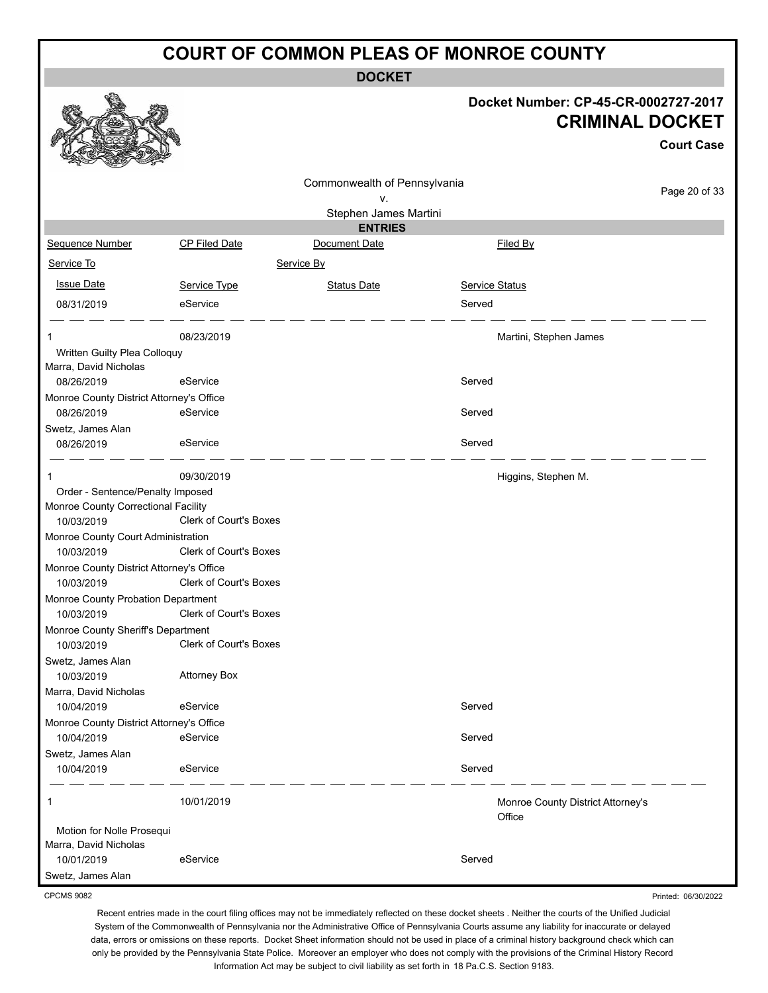**DOCKET**

#### **Docket Number: CP-45-CR-0002727-2017 CRIMINAL DOCKET**

**Court Case**

|                                                  |                        |                                    |                                             | <b>Court Case</b> |
|--------------------------------------------------|------------------------|------------------------------------|---------------------------------------------|-------------------|
|                                                  |                        | Commonwealth of Pennsylvania<br>٧. |                                             | Page 20 of 33     |
|                                                  |                        | Stephen James Martini              |                                             |                   |
|                                                  |                        | <b>ENTRIES</b>                     |                                             |                   |
| Sequence Number                                  | <b>CP Filed Date</b>   | Document Date                      | <b>Filed By</b>                             |                   |
| Service To                                       |                        | Service By                         |                                             |                   |
| <b>Issue Date</b>                                | Service Type           | <b>Status Date</b>                 | Service Status                              |                   |
| 08/31/2019                                       | eService               |                                    | Served                                      |                   |
| 1                                                | 08/23/2019             |                                    | Martini, Stephen James                      |                   |
| Written Guilty Plea Colloquy                     |                        |                                    |                                             |                   |
| Marra, David Nicholas<br>08/26/2019              | eService               |                                    | Served                                      |                   |
| Monroe County District Attorney's Office         |                        |                                    |                                             |                   |
| 08/26/2019                                       | eService               |                                    | Served                                      |                   |
| Swetz, James Alan                                |                        |                                    |                                             |                   |
| 08/26/2019                                       | eService               |                                    | Served                                      |                   |
| 1                                                | 09/30/2019             |                                    | Higgins, Stephen M.                         |                   |
| Order - Sentence/Penalty Imposed                 |                        |                                    |                                             |                   |
| Monroe County Correctional Facility              |                        |                                    |                                             |                   |
| 10/03/2019                                       | Clerk of Court's Boxes |                                    |                                             |                   |
| Monroe County Court Administration<br>10/03/2019 | Clerk of Court's Boxes |                                    |                                             |                   |
| Monroe County District Attorney's Office         |                        |                                    |                                             |                   |
| 10/03/2019                                       | Clerk of Court's Boxes |                                    |                                             |                   |
| Monroe County Probation Department               |                        |                                    |                                             |                   |
| 10/03/2019                                       | Clerk of Court's Boxes |                                    |                                             |                   |
| Monroe County Sheriff's Department               |                        |                                    |                                             |                   |
| 10/03/2019                                       | Clerk of Court's Boxes |                                    |                                             |                   |
| Swetz, James Alan                                |                        |                                    |                                             |                   |
| 10/03/2019                                       | <b>Attorney Box</b>    |                                    |                                             |                   |
| Marra, David Nicholas                            |                        |                                    |                                             |                   |
| 10/04/2019                                       | eService               |                                    | Served                                      |                   |
| Monroe County District Attorney's Office         |                        |                                    |                                             |                   |
| 10/04/2019                                       | eService               |                                    | Served                                      |                   |
| Swetz, James Alan                                | eService               |                                    |                                             |                   |
| 10/04/2019                                       |                        |                                    | Served                                      |                   |
| 1                                                | 10/01/2019             |                                    | Monroe County District Attorney's<br>Office |                   |
| Motion for Nolle Prosequi                        |                        |                                    |                                             |                   |
| Marra, David Nicholas                            |                        |                                    |                                             |                   |
| 10/01/2019                                       | eService               |                                    | Served                                      |                   |
| Swetz, James Alan                                |                        |                                    |                                             |                   |

CPCMS 9082

Recent entries made in the court filing offices may not be immediately reflected on these docket sheets . Neither the courts of the Unified Judicial System of the Commonwealth of Pennsylvania nor the Administrative Office of Pennsylvania Courts assume any liability for inaccurate or delayed data, errors or omissions on these reports. Docket Sheet information should not be used in place of a criminal history background check which can only be provided by the Pennsylvania State Police. Moreover an employer who does not comply with the provisions of the Criminal History Record Information Act may be subject to civil liability as set forth in 18 Pa.C.S. Section 9183.

Printed: 06/30/2022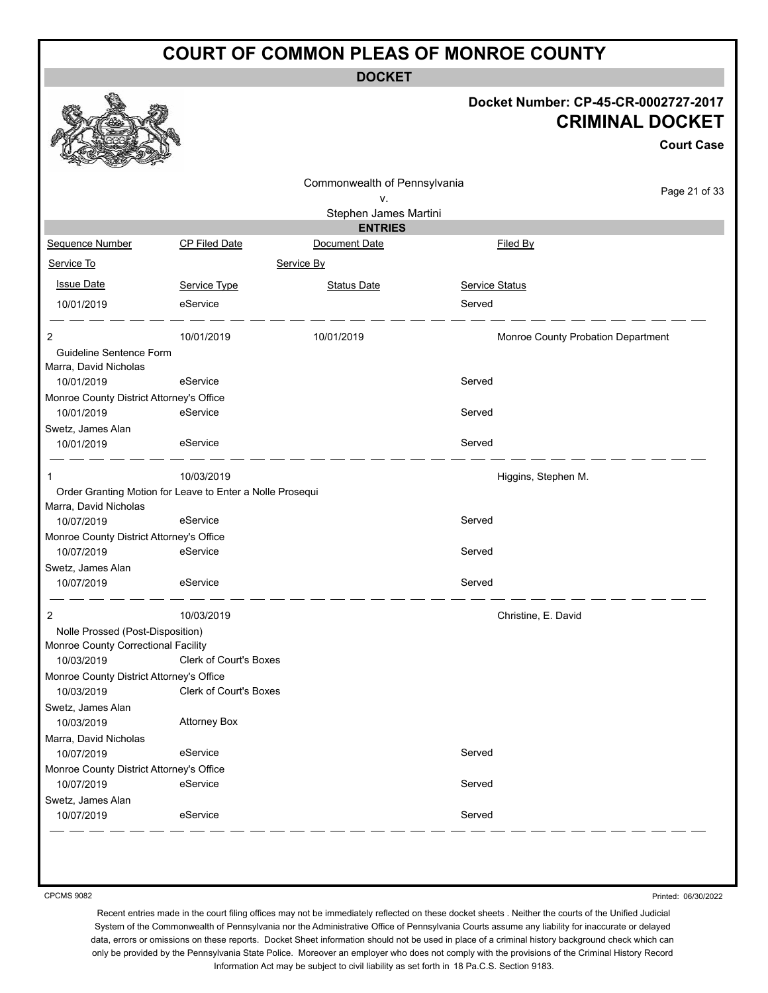**DOCKET**

#### **Docket Number: CP-45-CR-0002727-2017 CRIMINAL DOCKET**

|                                                        |                                                           | Commonwealth of Pennsylvania |                                    |               |
|--------------------------------------------------------|-----------------------------------------------------------|------------------------------|------------------------------------|---------------|
|                                                        |                                                           | ٧.                           |                                    | Page 21 of 33 |
|                                                        |                                                           | Stephen James Martini        |                                    |               |
|                                                        |                                                           | <b>ENTRIES</b>               |                                    |               |
| Sequence Number                                        | CP Filed Date                                             | Document Date                | Filed By                           |               |
| Service To                                             |                                                           | Service By                   |                                    |               |
| <b>Issue Date</b>                                      | Service Type                                              | <b>Status Date</b>           | Service Status                     |               |
| 10/01/2019                                             | eService                                                  |                              | Served                             |               |
| 2                                                      | 10/01/2019                                                | 10/01/2019                   | Monroe County Probation Department |               |
| Guideline Sentence Form                                |                                                           |                              |                                    |               |
| Marra, David Nicholas                                  |                                                           |                              |                                    |               |
| 10/01/2019                                             | eService                                                  |                              | Served                             |               |
| Monroe County District Attorney's Office<br>10/01/2019 | eService                                                  |                              | Served                             |               |
| Swetz, James Alan                                      |                                                           |                              |                                    |               |
| 10/01/2019                                             | eService                                                  |                              | Served                             |               |
|                                                        | 10/03/2019                                                |                              | Higgins, Stephen M.                |               |
|                                                        | Order Granting Motion for Leave to Enter a Nolle Prosequi |                              |                                    |               |
| Marra, David Nicholas                                  |                                                           |                              |                                    |               |
| 10/07/2019                                             | eService                                                  |                              | Served                             |               |
| Monroe County District Attorney's Office               | eService                                                  |                              | Served                             |               |
| 10/07/2019<br>Swetz, James Alan                        |                                                           |                              |                                    |               |
| 10/07/2019                                             | eService                                                  |                              | Served                             |               |
| 2                                                      | 10/03/2019                                                |                              | Christine, E. David                |               |
| Nolle Prossed (Post-Disposition)                       |                                                           |                              |                                    |               |
| Monroe County Correctional Facility                    |                                                           |                              |                                    |               |
| 10/03/2019                                             | <b>Clerk of Court's Boxes</b>                             |                              |                                    |               |
| Monroe County District Attorney's Office               |                                                           |                              |                                    |               |
| 10/03/2019                                             | <b>Clerk of Court's Boxes</b>                             |                              |                                    |               |
| Swetz, James Alan<br>10/03/2019                        | <b>Attorney Box</b>                                       |                              |                                    |               |
| Marra, David Nicholas                                  |                                                           |                              |                                    |               |
| 10/07/2019                                             | eService                                                  |                              | Served                             |               |
| Monroe County District Attorney's Office               |                                                           |                              |                                    |               |
| 10/07/2019                                             | eService                                                  |                              | Served                             |               |
| Swetz, James Alan                                      |                                                           |                              |                                    |               |
| 10/07/2019                                             | eService                                                  |                              | Served                             |               |

CPCMS 9082

Printed: 06/30/2022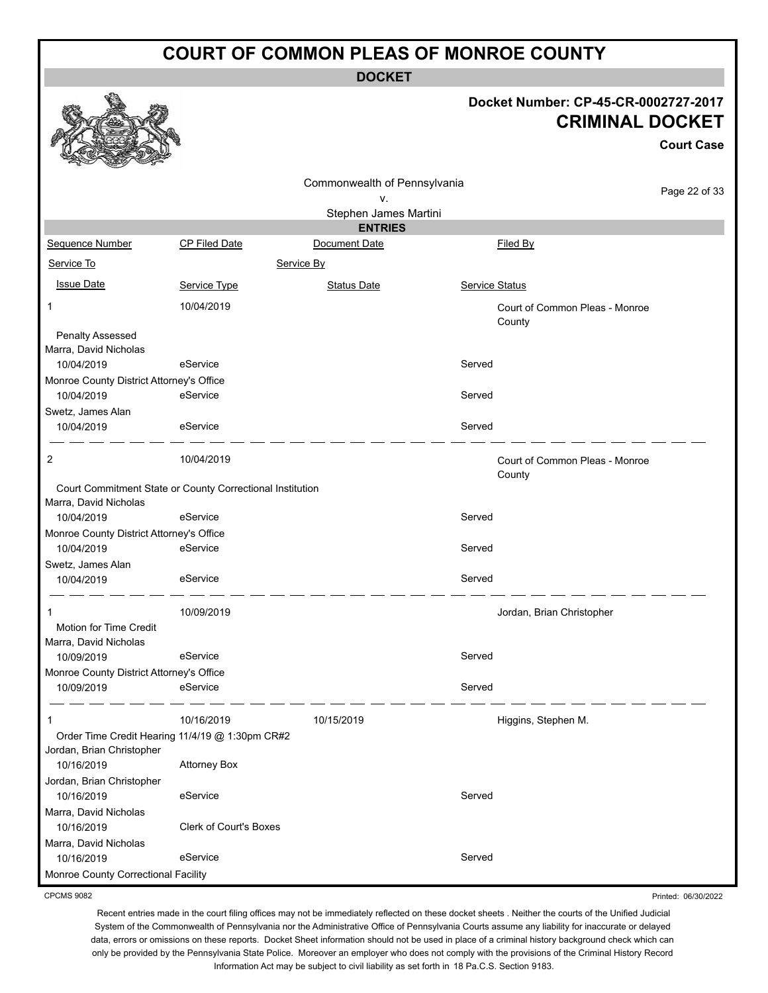**DOCKET**

#### **Docket Number: CP-45-CR-0002727-2017 CRIMINAL DOCKET**

Printed: 06/30/2022

|                                                        |                                                           |                              |                           | <b>Court Case</b>              |
|--------------------------------------------------------|-----------------------------------------------------------|------------------------------|---------------------------|--------------------------------|
|                                                        |                                                           | Commonwealth of Pennsylvania |                           |                                |
|                                                        |                                                           | ۷.                           |                           | Page 22 of 33                  |
|                                                        |                                                           | Stephen James Martini        |                           |                                |
|                                                        |                                                           | <b>ENTRIES</b>               |                           |                                |
| Sequence Number                                        | <b>CP Filed Date</b>                                      | Document Date                | Filed By                  |                                |
| Service To                                             |                                                           | Service By                   |                           |                                |
| <b>Issue Date</b>                                      | Service Type                                              | <b>Status Date</b>           | Service Status            |                                |
| 1                                                      | 10/04/2019                                                |                              | County                    | Court of Common Pleas - Monroe |
| Penalty Assessed<br>Marra, David Nicholas              |                                                           |                              |                           |                                |
| 10/04/2019                                             | eService                                                  |                              | Served                    |                                |
| Monroe County District Attorney's Office               |                                                           |                              |                           |                                |
| 10/04/2019                                             | eService                                                  |                              | Served                    |                                |
| Swetz, James Alan                                      |                                                           |                              |                           |                                |
| 10/04/2019                                             | eService                                                  |                              | Served                    |                                |
| $\overline{2}$                                         | 10/04/2019                                                |                              | County                    | Court of Common Pleas - Monroe |
| Marra, David Nicholas                                  | Court Commitment State or County Correctional Institution |                              |                           |                                |
| 10/04/2019                                             | eService                                                  |                              | Served                    |                                |
| Monroe County District Attorney's Office               |                                                           |                              |                           |                                |
| 10/04/2019                                             | eService                                                  |                              | Served                    |                                |
| Swetz, James Alan                                      |                                                           |                              |                           |                                |
| 10/04/2019                                             | eService                                                  |                              | Served                    |                                |
| 1                                                      | 10/09/2019                                                |                              | Jordan, Brian Christopher |                                |
| <b>Motion for Time Credit</b>                          |                                                           |                              |                           |                                |
| Marra, David Nicholas                                  |                                                           |                              | Served                    |                                |
| 10/09/2019                                             | eService                                                  |                              |                           |                                |
| Monroe County District Attorney's Office<br>10/09/2019 | eService                                                  |                              | Served                    |                                |
|                                                        |                                                           |                              |                           |                                |
| 1                                                      | 10/16/2019                                                | 10/15/2019                   | Higgins, Stephen M.       |                                |
| Jordan, Brian Christopher                              | Order Time Credit Hearing 11/4/19 @ 1:30pm CR#2           |                              |                           |                                |
| 10/16/2019                                             | <b>Attorney Box</b>                                       |                              |                           |                                |
| Jordan, Brian Christopher                              |                                                           |                              |                           |                                |
| 10/16/2019                                             | eService                                                  |                              | Served                    |                                |
| Marra, David Nicholas                                  |                                                           |                              |                           |                                |
| 10/16/2019                                             | Clerk of Court's Boxes                                    |                              |                           |                                |
| Marra, David Nicholas                                  |                                                           |                              |                           |                                |
| 10/16/2019                                             | eService                                                  |                              | Served                    |                                |
| Monroe County Correctional Facility                    |                                                           |                              |                           |                                |

CPCMS 9082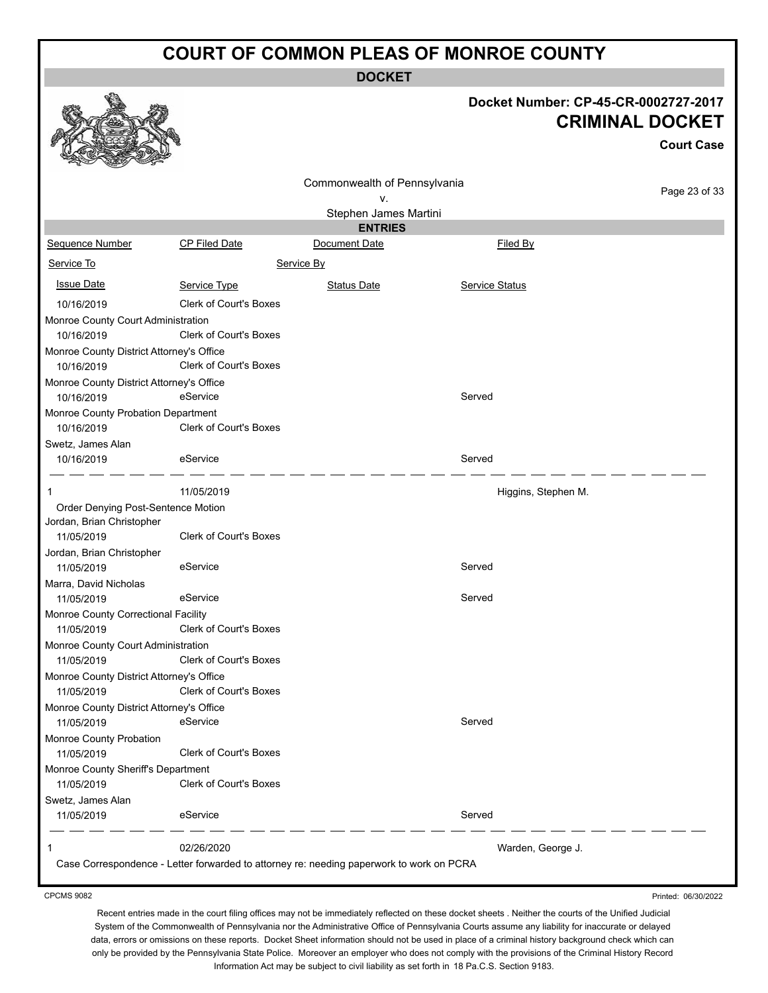**DOCKET**

|                                                        |                               |                                                                                          | Docket Number: CP-45-CR-0002727-2017 | <b>CRIMINAL DOCKET</b><br><b>Court Case</b> |
|--------------------------------------------------------|-------------------------------|------------------------------------------------------------------------------------------|--------------------------------------|---------------------------------------------|
|                                                        |                               | Commonwealth of Pennsylvania                                                             |                                      |                                             |
|                                                        |                               | v.                                                                                       |                                      | Page 23 of 33                               |
|                                                        |                               | Stephen James Martini                                                                    |                                      |                                             |
| Sequence Number                                        | CP Filed Date                 | <b>ENTRIES</b><br>Document Date                                                          | Filed By                             |                                             |
| Service To                                             |                               | Service By                                                                               |                                      |                                             |
|                                                        |                               |                                                                                          |                                      |                                             |
| <b>Issue Date</b>                                      | Service Type                  | <b>Status Date</b>                                                                       | Service Status                       |                                             |
| 10/16/2019                                             | <b>Clerk of Court's Boxes</b> |                                                                                          |                                      |                                             |
| Monroe County Court Administration<br>10/16/2019       | Clerk of Court's Boxes        |                                                                                          |                                      |                                             |
| Monroe County District Attorney's Office               |                               |                                                                                          |                                      |                                             |
| 10/16/2019                                             | Clerk of Court's Boxes        |                                                                                          |                                      |                                             |
| Monroe County District Attorney's Office               |                               |                                                                                          |                                      |                                             |
| 10/16/2019                                             | eService                      |                                                                                          | Served                               |                                             |
| Monroe County Probation Department                     |                               |                                                                                          |                                      |                                             |
| 10/16/2019                                             | Clerk of Court's Boxes        |                                                                                          |                                      |                                             |
| Swetz, James Alan<br>10/16/2019                        | eService                      |                                                                                          | Served                               |                                             |
|                                                        |                               |                                                                                          |                                      |                                             |
|                                                        | 11/05/2019                    |                                                                                          | Higgins, Stephen M.                  |                                             |
| Order Denying Post-Sentence Motion                     |                               |                                                                                          |                                      |                                             |
| Jordan, Brian Christopher                              |                               |                                                                                          |                                      |                                             |
| 11/05/2019                                             | <b>Clerk of Court's Boxes</b> |                                                                                          |                                      |                                             |
| Jordan, Brian Christopher<br>11/05/2019                | eService                      |                                                                                          | Served                               |                                             |
| Marra, David Nicholas                                  |                               |                                                                                          |                                      |                                             |
| 11/05/2019                                             | eService                      |                                                                                          | Served                               |                                             |
| Monroe County Correctional Facility                    |                               |                                                                                          |                                      |                                             |
| 11/05/2019                                             | Clerk of Court's Boxes        |                                                                                          |                                      |                                             |
| Monroe County Court Administration<br>11/05/2019       | <b>Clerk of Court's Boxes</b> |                                                                                          |                                      |                                             |
| Monroe County District Attorney's Office               |                               |                                                                                          |                                      |                                             |
| 11/05/2019                                             | <b>Clerk of Court's Boxes</b> |                                                                                          |                                      |                                             |
| Monroe County District Attorney's Office<br>11/05/2019 | eService                      |                                                                                          | Served                               |                                             |
| Monroe County Probation                                |                               |                                                                                          |                                      |                                             |
| 11/05/2019                                             | <b>Clerk of Court's Boxes</b> |                                                                                          |                                      |                                             |
| Monroe County Sheriff's Department                     |                               |                                                                                          |                                      |                                             |
| 11/05/2019                                             | Clerk of Court's Boxes        |                                                                                          |                                      |                                             |
| Swetz, James Alan                                      |                               |                                                                                          |                                      |                                             |
| 11/05/2019                                             | eService                      |                                                                                          | Served                               |                                             |
| 1                                                      | 02/26/2020                    |                                                                                          | Warden, George J.                    |                                             |
|                                                        |                               | Case Correspondence - Letter forwarded to attorney re: needing paperwork to work on PCRA |                                      |                                             |
| <b>CPCMS 9082</b>                                      |                               |                                                                                          |                                      | Printed: 06/30/2022                         |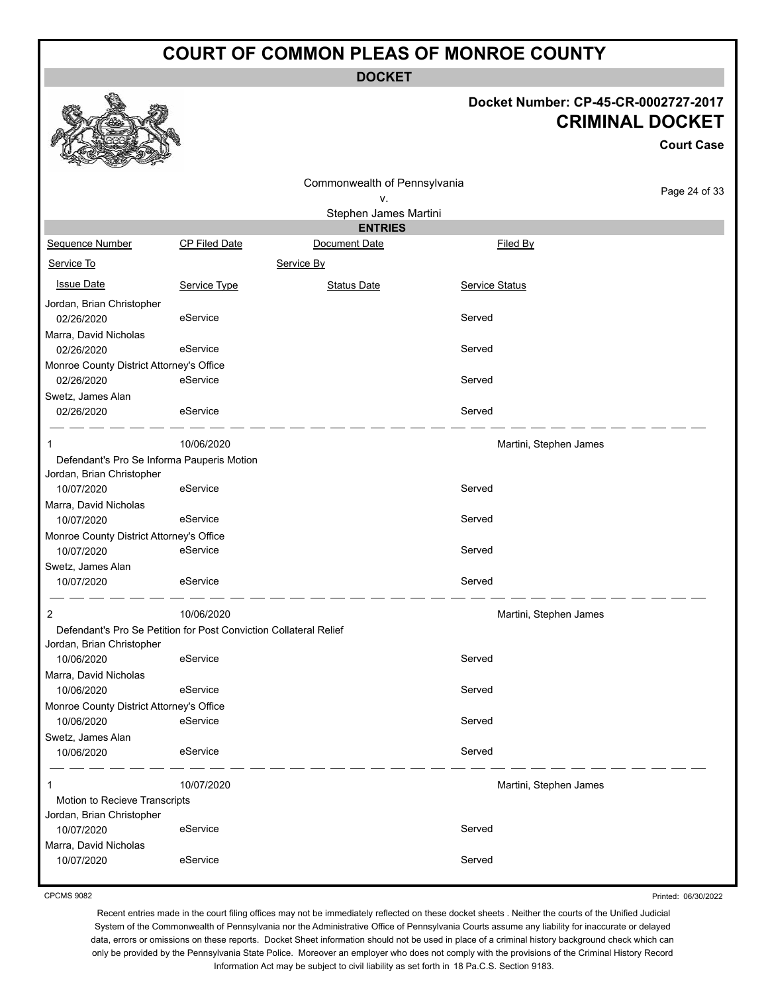**DOCKET**

#### **Docket Number: CP-45-CR-0002727-2017 CRIMINAL DOCKET**

**Court Case**

|                                            |                                                                   | Commonwealth of Pennsylvania |                       |                        |               |
|--------------------------------------------|-------------------------------------------------------------------|------------------------------|-----------------------|------------------------|---------------|
|                                            |                                                                   | ۷.                           |                       |                        | Page 24 of 33 |
|                                            |                                                                   | Stephen James Martini        |                       |                        |               |
|                                            |                                                                   | <b>ENTRIES</b>               |                       |                        |               |
| Sequence Number                            | <b>CP Filed Date</b>                                              | Document Date                |                       | Filed By               |               |
| Service To                                 |                                                                   | Service By                   |                       |                        |               |
| <b>Issue Date</b>                          | Service Type                                                      | <b>Status Date</b>           | <b>Service Status</b> |                        |               |
| Jordan, Brian Christopher                  |                                                                   |                              |                       |                        |               |
| 02/26/2020                                 | eService                                                          |                              | Served                |                        |               |
| Marra, David Nicholas                      |                                                                   |                              |                       |                        |               |
| 02/26/2020                                 | eService                                                          |                              | Served                |                        |               |
| Monroe County District Attorney's Office   |                                                                   |                              |                       |                        |               |
| 02/26/2020                                 | eService                                                          |                              | Served                |                        |               |
| Swetz, James Alan                          |                                                                   |                              |                       |                        |               |
| 02/26/2020                                 | eService                                                          |                              | Served                |                        |               |
|                                            | 10/06/2020                                                        |                              |                       | Martini, Stephen James |               |
| Defendant's Pro Se Informa Pauperis Motion |                                                                   |                              |                       |                        |               |
| Jordan, Brian Christopher                  |                                                                   |                              |                       |                        |               |
| 10/07/2020                                 | eService                                                          |                              | Served                |                        |               |
| Marra, David Nicholas                      |                                                                   |                              |                       |                        |               |
| 10/07/2020                                 | eService                                                          |                              | Served                |                        |               |
| Monroe County District Attorney's Office   |                                                                   |                              |                       |                        |               |
| 10/07/2020                                 | eService                                                          |                              | Served                |                        |               |
| Swetz, James Alan                          |                                                                   |                              |                       |                        |               |
| 10/07/2020                                 | eService                                                          |                              | Served                |                        |               |
| 2                                          | 10/06/2020                                                        |                              |                       | Martini, Stephen James |               |
|                                            | Defendant's Pro Se Petition for Post Conviction Collateral Relief |                              |                       |                        |               |
| Jordan, Brian Christopher                  |                                                                   |                              |                       |                        |               |
| 10/06/2020                                 | eService                                                          |                              | Served                |                        |               |
| Marra, David Nicholas                      |                                                                   |                              |                       |                        |               |
| 10/06/2020                                 | eService                                                          |                              | Served                |                        |               |
| Monroe County District Attorney's Office   |                                                                   |                              |                       |                        |               |
| 10/06/2020                                 | eService                                                          |                              | Served                |                        |               |
| Swetz, James Alan                          |                                                                   |                              |                       |                        |               |
| 10/06/2020                                 | eService                                                          |                              | Served                |                        |               |
| 1                                          | 10/07/2020                                                        |                              |                       | Martini, Stephen James |               |
| Motion to Recieve Transcripts              |                                                                   |                              |                       |                        |               |
| Jordan, Brian Christopher                  |                                                                   |                              |                       |                        |               |
| 10/07/2020                                 | eService                                                          |                              | Served                |                        |               |
| Marra, David Nicholas                      |                                                                   |                              |                       |                        |               |
| 10/07/2020                                 | eService                                                          |                              | Served                |                        |               |
|                                            |                                                                   |                              |                       |                        |               |

CPCMS 9082

Printed: 06/30/2022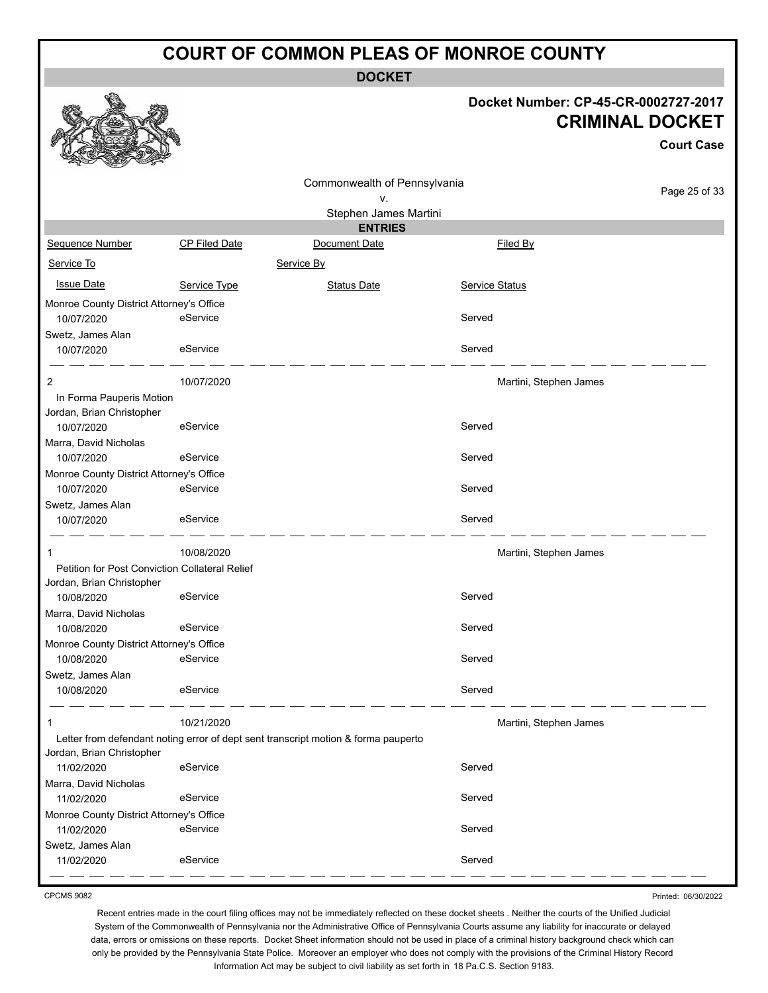**DOCKET**

| Docket Number: CP-45-CR-0002727-2017 |
|--------------------------------------|
| <b>CRIMINAL DOCKET</b>               |

|                                          |                                                |                                                                                    |                        | <b>Court Case</b> |
|------------------------------------------|------------------------------------------------|------------------------------------------------------------------------------------|------------------------|-------------------|
|                                          |                                                |                                                                                    |                        |                   |
|                                          |                                                | Commonwealth of Pennsylvania<br>ν.                                                 |                        | Page 25 of 33     |
|                                          |                                                | Stephen James Martini                                                              |                        |                   |
|                                          |                                                | <b>ENTRIES</b>                                                                     |                        |                   |
| Sequence Number                          | <b>CP Filed Date</b>                           | Document Date                                                                      | Filed By               |                   |
| Service To                               |                                                | Service By                                                                         |                        |                   |
| <b>Issue Date</b>                        | Service Type                                   | <b>Status Date</b>                                                                 | Service Status         |                   |
| Monroe County District Attorney's Office |                                                |                                                                                    |                        |                   |
| 10/07/2020                               | eService                                       |                                                                                    | Served                 |                   |
| Swetz, James Alan                        |                                                |                                                                                    |                        |                   |
| 10/07/2020                               | eService                                       |                                                                                    | Served                 |                   |
| 2                                        | 10/07/2020                                     |                                                                                    | Martini, Stephen James |                   |
| In Forma Pauperis Motion                 |                                                |                                                                                    |                        |                   |
| Jordan, Brian Christopher                |                                                |                                                                                    |                        |                   |
| 10/07/2020                               | eService                                       |                                                                                    | Served                 |                   |
| Marra, David Nicholas                    |                                                |                                                                                    |                        |                   |
| 10/07/2020                               | eService                                       |                                                                                    | Served                 |                   |
| Monroe County District Attorney's Office |                                                |                                                                                    |                        |                   |
| 10/07/2020                               | eService                                       |                                                                                    | Served                 |                   |
| Swetz, James Alan                        |                                                |                                                                                    |                        |                   |
| 10/07/2020                               | eService                                       |                                                                                    | Served                 |                   |
| -1                                       | 10/08/2020                                     |                                                                                    | Martini, Stephen James |                   |
|                                          | Petition for Post Conviction Collateral Relief |                                                                                    |                        |                   |
| Jordan, Brian Christopher                |                                                |                                                                                    |                        |                   |
| 10/08/2020                               | eService                                       |                                                                                    | Served                 |                   |
| Marra, David Nicholas                    |                                                |                                                                                    |                        |                   |
| 10/08/2020                               | eService                                       |                                                                                    | Served                 |                   |
| Monroe County District Attorney's Office |                                                |                                                                                    |                        |                   |
| 10/08/2020                               | eService                                       |                                                                                    | Served                 |                   |
| Swetz, James Alan                        |                                                |                                                                                    |                        |                   |
| 10/08/2020                               | eService                                       |                                                                                    | Served                 |                   |
| -1                                       | 10/21/2020                                     |                                                                                    | Martini, Stephen James |                   |
|                                          |                                                | Letter from defendant noting error of dept sent transcript motion & forma pauperto |                        |                   |
| Jordan, Brian Christopher                |                                                |                                                                                    |                        |                   |
| 11/02/2020                               | eService                                       |                                                                                    | Served                 |                   |
| Marra, David Nicholas                    |                                                |                                                                                    |                        |                   |
| 11/02/2020                               | eService                                       |                                                                                    | Served                 |                   |
| Monroe County District Attorney's Office |                                                |                                                                                    |                        |                   |
| 11/02/2020                               | eService                                       |                                                                                    | Served                 |                   |
| Swetz, James Alan                        |                                                |                                                                                    |                        |                   |
| 11/02/2020                               | eService                                       |                                                                                    | Served                 |                   |

CPCMS 9082

**GAND** 

Printed: 06/30/2022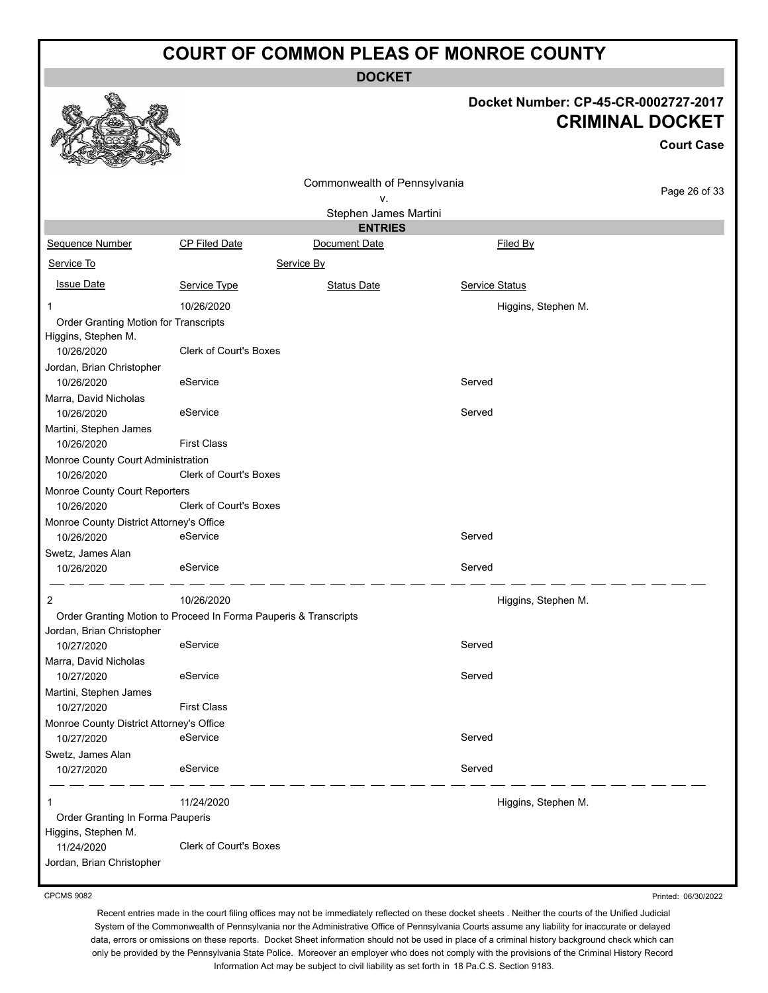**DOCKET**

# **Docket Number: CP-45-CR-0002727-2017**

|                                                                  |                               |                              | <b>CRIMINAL DOCKET</b><br><b>Court Case</b> |               |  |
|------------------------------------------------------------------|-------------------------------|------------------------------|---------------------------------------------|---------------|--|
|                                                                  |                               |                              |                                             |               |  |
|                                                                  |                               | Commonwealth of Pennsylvania |                                             | Page 26 of 33 |  |
|                                                                  |                               | ν.                           |                                             |               |  |
|                                                                  |                               | Stephen James Martini        |                                             |               |  |
|                                                                  |                               | <b>ENTRIES</b>               |                                             |               |  |
| <b>Sequence Number</b>                                           | CP Filed Date                 | Document Date                | Filed By                                    |               |  |
| Service To                                                       |                               | Service By                   |                                             |               |  |
| <b>Issue Date</b>                                                | Service Type                  | <b>Status Date</b>           | Service Status                              |               |  |
| 1                                                                | 10/26/2020                    |                              | Higgins, Stephen M.                         |               |  |
| Order Granting Motion for Transcripts                            |                               |                              |                                             |               |  |
| Higgins, Stephen M.                                              |                               |                              |                                             |               |  |
| 10/26/2020                                                       | <b>Clerk of Court's Boxes</b> |                              |                                             |               |  |
| Jordan, Brian Christopher<br>10/26/2020                          | eService                      |                              | Served                                      |               |  |
|                                                                  |                               |                              |                                             |               |  |
| Marra, David Nicholas<br>10/26/2020                              | eService                      |                              | Served                                      |               |  |
| Martini, Stephen James                                           |                               |                              |                                             |               |  |
| 10/26/2020                                                       | <b>First Class</b>            |                              |                                             |               |  |
| Monroe County Court Administration<br>10/26/2020                 | <b>Clerk of Court's Boxes</b> |                              |                                             |               |  |
| Monroe County Court Reporters<br>10/26/2020                      | <b>Clerk of Court's Boxes</b> |                              |                                             |               |  |
| Monroe County District Attorney's Office                         |                               |                              |                                             |               |  |
| 10/26/2020                                                       | eService                      |                              | Served                                      |               |  |
| Swetz, James Alan<br>10/26/2020                                  | eService                      |                              | Served                                      |               |  |
| 2                                                                | 10/26/2020                    |                              | Higgins, Stephen M.                         |               |  |
| Order Granting Motion to Proceed In Forma Pauperis & Transcripts |                               |                              |                                             |               |  |
| Jordan, Brian Christopher                                        |                               |                              |                                             |               |  |
| 10/27/2020                                                       | eService                      |                              | Served                                      |               |  |
| Marra, David Nicholas<br>10/27/2020                              | eService                      |                              | Served                                      |               |  |
| Martini, Stephen James                                           |                               |                              |                                             |               |  |
| 10/27/2020                                                       | <b>First Class</b>            |                              |                                             |               |  |
| Monroe County District Attorney's Office                         |                               |                              |                                             |               |  |
| 10/27/2020                                                       | eService                      |                              | Served                                      |               |  |
| Swetz, James Alan                                                |                               |                              |                                             |               |  |
| 10/27/2020                                                       | eService                      |                              | Served                                      |               |  |
| 1                                                                | 11/24/2020                    |                              | Higgins, Stephen M.                         |               |  |
| Order Granting In Forma Pauperis                                 |                               |                              |                                             |               |  |
| Higgins, Stephen M.                                              |                               |                              |                                             |               |  |
| 11/24/2020                                                       | Clerk of Court's Boxes        |                              |                                             |               |  |
| Jordan, Brian Christopher                                        |                               |                              |                                             |               |  |

CPCMS 9082

 $\vec{e}$ 

彩

线系

Recent entries made in the court filing offices may not be immediately reflected on these docket sheets . Neither the courts of the Unified Judicial System of the Commonwealth of Pennsylvania nor the Administrative Office of Pennsylvania Courts assume any liability for inaccurate or delayed data, errors or omissions on these reports. Docket Sheet information should not be used in place of a criminal history background check which can only be provided by the Pennsylvania State Police. Moreover an employer who does not comply with the provisions of the Criminal History Record Information Act may be subject to civil liability as set forth in 18 Pa.C.S. Section 9183.

Printed: 06/30/2022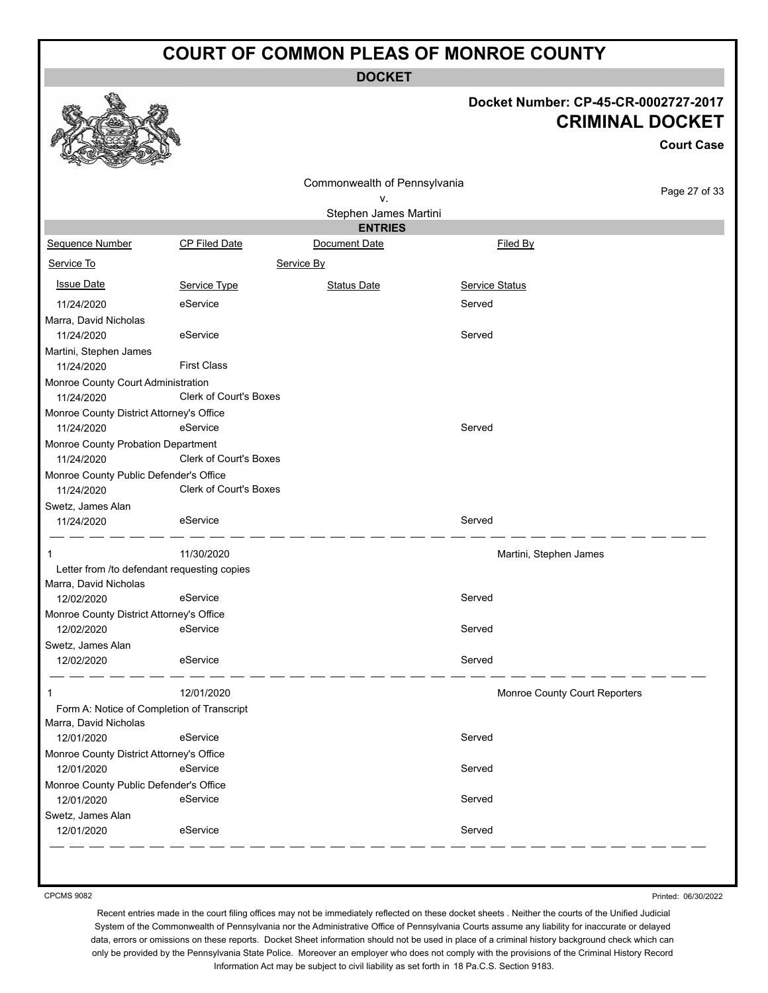**DOCKET**

#### **Docket Number: CP-45-CR-0002727-2017 CRIMINAL DOCKET**

**Court Case**

|                                                        |                               | Commonwealth of Pennsylvania<br>۷. |                               | Page 27 of 33 |
|--------------------------------------------------------|-------------------------------|------------------------------------|-------------------------------|---------------|
|                                                        |                               | Stephen James Martini              |                               |               |
|                                                        |                               | <b>ENTRIES</b>                     |                               |               |
| Sequence Number                                        | CP Filed Date                 | Document Date                      | Filed By                      |               |
| Service To                                             |                               | Service By                         |                               |               |
| <b>Issue Date</b>                                      | Service Type                  | <b>Status Date</b>                 | Service Status                |               |
| 11/24/2020                                             | eService                      |                                    | Served                        |               |
| Marra, David Nicholas<br>11/24/2020                    | eService                      |                                    | Served                        |               |
| Martini, Stephen James                                 |                               |                                    |                               |               |
| 11/24/2020                                             | <b>First Class</b>            |                                    |                               |               |
| Monroe County Court Administration<br>11/24/2020       | <b>Clerk of Court's Boxes</b> |                                    |                               |               |
| Monroe County District Attorney's Office<br>11/24/2020 | eService                      |                                    | Served                        |               |
| Monroe County Probation Department<br>11/24/2020       | Clerk of Court's Boxes        |                                    |                               |               |
| Monroe County Public Defender's Office                 |                               |                                    |                               |               |
| 11/24/2020                                             | Clerk of Court's Boxes        |                                    |                               |               |
| Swetz, James Alan                                      |                               |                                    |                               |               |
| 11/24/2020                                             | eService                      |                                    | Served                        |               |
| 1                                                      | 11/30/2020                    |                                    | Martini, Stephen James        |               |
| Letter from /to defendant requesting copies            |                               |                                    |                               |               |
| Marra, David Nicholas                                  |                               |                                    |                               |               |
| 12/02/2020                                             | eService                      |                                    | Served                        |               |
| Monroe County District Attorney's Office               | eService                      |                                    | Served                        |               |
| 12/02/2020                                             |                               |                                    |                               |               |
| Swetz, James Alan<br>12/02/2020                        | eService                      |                                    | Served                        |               |
|                                                        |                               |                                    |                               |               |
|                                                        | 12/01/2020                    |                                    | Monroe County Court Reporters |               |
| Form A: Notice of Completion of Transcript             |                               |                                    |                               |               |
| Marra, David Nicholas                                  |                               |                                    |                               |               |
| 12/01/2020                                             | eService                      |                                    | Served                        |               |
| Monroe County District Attorney's Office               |                               |                                    |                               |               |
| 12/01/2020                                             | eService                      |                                    | Served                        |               |
| Monroe County Public Defender's Office                 |                               |                                    |                               |               |
| 12/01/2020                                             | eService                      |                                    | Served                        |               |
| Swetz, James Alan<br>12/01/2020                        | eService                      |                                    | Served                        |               |
|                                                        |                               |                                    |                               |               |

CPCMS 9082

Printed: 06/30/2022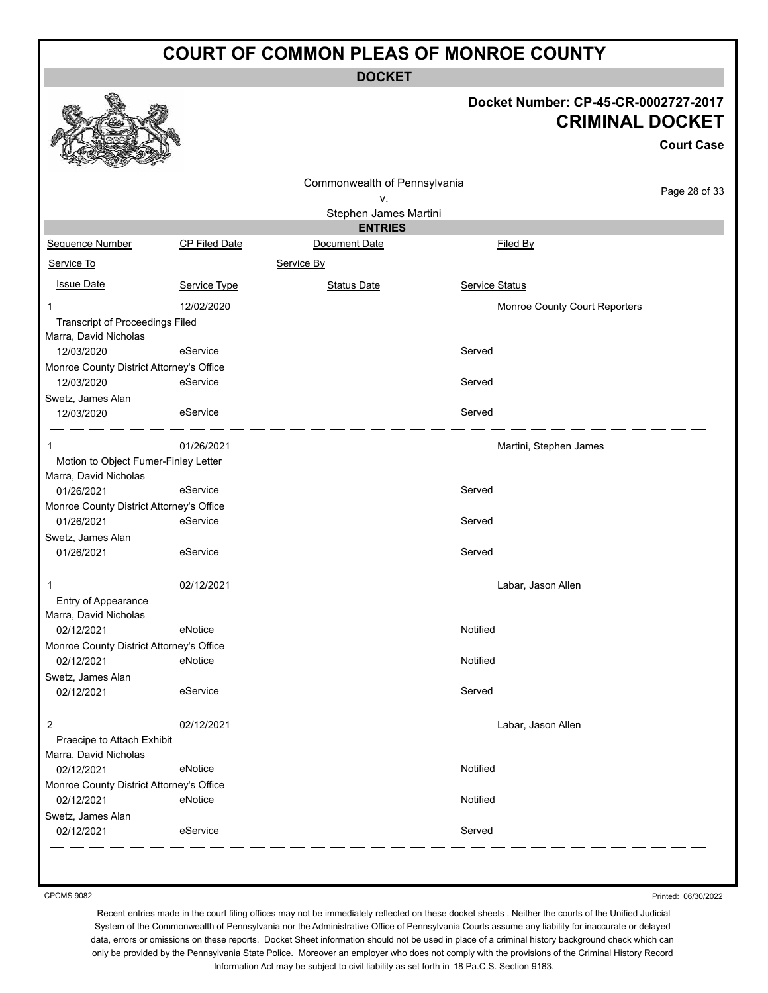**DOCKET**

#### **Docket Number: CP-45-CR-0002727-2017 CRIMINAL DOCKET**

**Court Case**

|                                                                 |                      |                              |                               | UUUI LUQSE    |
|-----------------------------------------------------------------|----------------------|------------------------------|-------------------------------|---------------|
|                                                                 |                      | Commonwealth of Pennsylvania |                               |               |
|                                                                 |                      | ۷.                           |                               | Page 28 of 33 |
|                                                                 |                      | Stephen James Martini        |                               |               |
|                                                                 |                      | <b>ENTRIES</b>               |                               |               |
| Sequence Number                                                 | <b>CP Filed Date</b> | Document Date                | Filed By                      |               |
| Service To                                                      |                      | Service By                   |                               |               |
| <b>Issue Date</b>                                               | Service Type         | <b>Status Date</b>           | Service Status                |               |
|                                                                 | 12/02/2020           |                              | Monroe County Court Reporters |               |
| <b>Transcript of Proceedings Filed</b><br>Marra, David Nicholas |                      |                              |                               |               |
| 12/03/2020                                                      | eService             |                              | Served                        |               |
| Monroe County District Attorney's Office                        |                      |                              |                               |               |
| 12/03/2020                                                      | eService             |                              | Served                        |               |
| Swetz, James Alan                                               |                      |                              |                               |               |
| 12/03/2020                                                      | eService             |                              | Served                        |               |
| 1                                                               | 01/26/2021           |                              | Martini, Stephen James        |               |
| Motion to Object Fumer-Finley Letter                            |                      |                              |                               |               |
| Marra, David Nicholas                                           |                      |                              |                               |               |
| 01/26/2021                                                      | eService             |                              | Served                        |               |
| Monroe County District Attorney's Office                        |                      |                              |                               |               |
| 01/26/2021                                                      | eService             |                              | Served                        |               |
| Swetz, James Alan                                               |                      |                              |                               |               |
| 01/26/2021                                                      | eService             |                              | Served                        |               |
| 1                                                               | 02/12/2021           |                              | Labar, Jason Allen            |               |
| Entry of Appearance                                             |                      |                              |                               |               |
| Marra, David Nicholas                                           |                      |                              |                               |               |
| 02/12/2021                                                      | eNotice              |                              | Notified                      |               |
| Monroe County District Attorney's Office                        |                      |                              |                               |               |
| 02/12/2021                                                      | eNotice              |                              | Notified                      |               |
| Swetz, James Alan                                               |                      |                              |                               |               |
| 02/12/2021                                                      | eService             |                              | Served                        |               |
| 2                                                               | 02/12/2021           |                              | Labar, Jason Allen            |               |
| Praecipe to Attach Exhibit                                      |                      |                              |                               |               |
| Marra, David Nicholas                                           |                      |                              |                               |               |
| 02/12/2021                                                      | eNotice              |                              | Notified                      |               |
| Monroe County District Attorney's Office                        |                      |                              |                               |               |
| 02/12/2021                                                      | eNotice              |                              | Notified                      |               |
| Swetz, James Alan                                               |                      |                              |                               |               |
| 02/12/2021                                                      | eService             |                              | Served                        |               |
|                                                                 |                      |                              |                               |               |

CPCMS 9082

Printed: 06/30/2022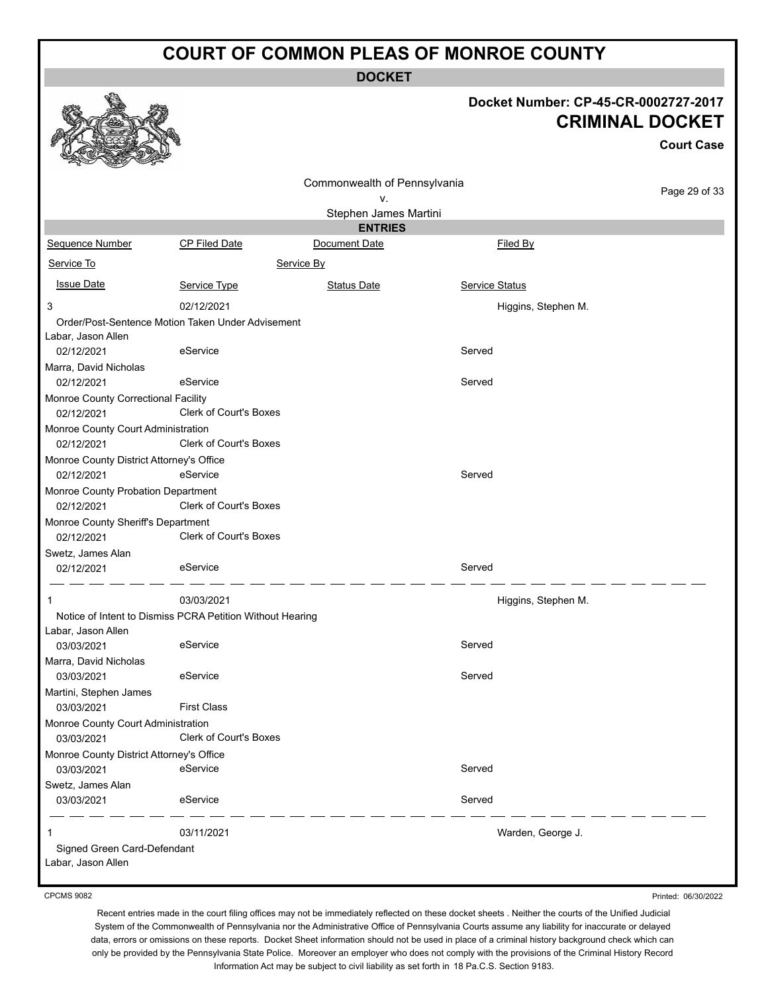**DOCKET**

#### **Docket Number: CP-45-CR-0002727-2017 CRIMINAL DOCKET**

**Court Case**

|                                                   |                                                           | Commonwealth of Pennsylvania |                     | Page 29 of 33 |
|---------------------------------------------------|-----------------------------------------------------------|------------------------------|---------------------|---------------|
|                                                   |                                                           | ٧.                           |                     |               |
|                                                   |                                                           | Stephen James Martini        |                     |               |
|                                                   |                                                           | <b>ENTRIES</b>               |                     |               |
| Sequence Number                                   | CP Filed Date                                             | Document Date                | Filed By            |               |
| Service To                                        | Service By                                                |                              |                     |               |
| <b>Issue Date</b>                                 | Service Type                                              | <b>Status Date</b>           | Service Status      |               |
| 3                                                 | 02/12/2021                                                |                              | Higgins, Stephen M. |               |
|                                                   | Order/Post-Sentence Motion Taken Under Advisement         |                              |                     |               |
| Labar, Jason Allen                                |                                                           |                              |                     |               |
| 02/12/2021                                        | eService                                                  |                              | Served              |               |
| Marra, David Nicholas<br>02/12/2021               | eService                                                  |                              | Served              |               |
|                                                   |                                                           |                              |                     |               |
| Monroe County Correctional Facility<br>02/12/2021 | Clerk of Court's Boxes                                    |                              |                     |               |
| Monroe County Court Administration                |                                                           |                              |                     |               |
| 02/12/2021                                        | <b>Clerk of Court's Boxes</b>                             |                              |                     |               |
| Monroe County District Attorney's Office          |                                                           |                              |                     |               |
| 02/12/2021                                        | eService                                                  |                              | Served              |               |
| Monroe County Probation Department                |                                                           |                              |                     |               |
| 02/12/2021                                        | <b>Clerk of Court's Boxes</b>                             |                              |                     |               |
| Monroe County Sheriff's Department                |                                                           |                              |                     |               |
| 02/12/2021                                        | <b>Clerk of Court's Boxes</b>                             |                              |                     |               |
| Swetz, James Alan                                 | eService                                                  |                              | Served              |               |
| 02/12/2021                                        |                                                           |                              |                     |               |
| 1                                                 | 03/03/2021                                                |                              | Higgins, Stephen M. |               |
|                                                   | Notice of Intent to Dismiss PCRA Petition Without Hearing |                              |                     |               |
| Labar, Jason Allen                                |                                                           |                              |                     |               |
| 03/03/2021                                        | eService                                                  |                              | Served              |               |
| Marra, David Nicholas                             |                                                           |                              |                     |               |
| 03/03/2021                                        | eService                                                  |                              | Served              |               |
| Martini, Stephen James<br>03/03/2021              | <b>First Class</b>                                        |                              |                     |               |
| Monroe County Court Administration                |                                                           |                              |                     |               |
| 03/03/2021                                        | Clerk of Court's Boxes                                    |                              |                     |               |
| Monroe County District Attorney's Office          |                                                           |                              |                     |               |
| 03/03/2021                                        | eService                                                  |                              | Served              |               |
| Swetz, James Alan                                 |                                                           |                              |                     |               |
| 03/03/2021                                        | eService                                                  |                              | Served              |               |
| 1                                                 | 03/11/2021                                                |                              | Warden, George J.   |               |
| Signed Green Card-Defendant                       |                                                           |                              |                     |               |
| Labar, Jason Allen                                |                                                           |                              |                     |               |
|                                                   |                                                           |                              |                     |               |

CPCMS 9082

Printed: 06/30/2022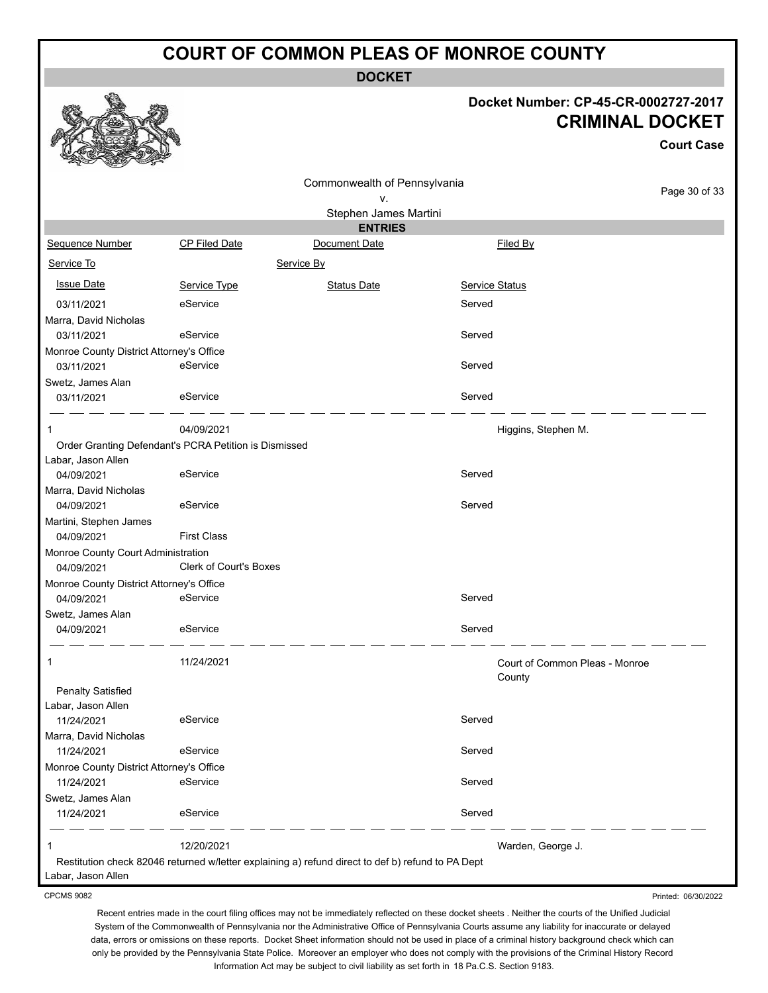**DOCKET**

#### **Docket Number: CP-45-CR-0002727-2017 CRIMINAL DOCKET**

**Court Case**

| Commonwealth of Pennsylvania             |                                                       |                                                                                                   |                | Page 30 of 33                            |
|------------------------------------------|-------------------------------------------------------|---------------------------------------------------------------------------------------------------|----------------|------------------------------------------|
|                                          |                                                       | v.                                                                                                |                |                                          |
|                                          |                                                       | Stephen James Martini                                                                             |                |                                          |
|                                          |                                                       | <b>ENTRIES</b>                                                                                    |                |                                          |
| Sequence Number                          | <b>CP Filed Date</b>                                  | Document Date                                                                                     |                | Filed By                                 |
| Service To                               |                                                       | Service By                                                                                        |                |                                          |
| <b>Issue Date</b>                        | Service Type                                          | <b>Status Date</b>                                                                                | Service Status |                                          |
| 03/11/2021                               | eService                                              |                                                                                                   | Served         |                                          |
| Marra, David Nicholas                    |                                                       |                                                                                                   |                |                                          |
| 03/11/2021                               | eService                                              |                                                                                                   | Served         |                                          |
| Monroe County District Attorney's Office |                                                       |                                                                                                   |                |                                          |
| 03/11/2021                               | eService                                              |                                                                                                   | Served         |                                          |
| Swetz, James Alan                        |                                                       |                                                                                                   |                |                                          |
| 03/11/2021                               | eService                                              |                                                                                                   | Served         |                                          |
|                                          | 04/09/2021                                            |                                                                                                   |                | Higgins, Stephen M.                      |
|                                          | Order Granting Defendant's PCRA Petition is Dismissed |                                                                                                   |                |                                          |
| Labar, Jason Allen                       |                                                       |                                                                                                   |                |                                          |
| 04/09/2021                               | eService                                              |                                                                                                   | Served         |                                          |
| Marra, David Nicholas                    |                                                       |                                                                                                   |                |                                          |
| 04/09/2021                               | eService                                              |                                                                                                   | Served         |                                          |
| Martini, Stephen James                   |                                                       |                                                                                                   |                |                                          |
| 04/09/2021                               | <b>First Class</b>                                    |                                                                                                   |                |                                          |
| Monroe County Court Administration       |                                                       |                                                                                                   |                |                                          |
| 04/09/2021                               | <b>Clerk of Court's Boxes</b>                         |                                                                                                   |                |                                          |
| Monroe County District Attorney's Office |                                                       |                                                                                                   |                |                                          |
| 04/09/2021                               | eService                                              |                                                                                                   | Served         |                                          |
| Swetz, James Alan                        |                                                       |                                                                                                   |                |                                          |
| 04/09/2021                               | eService                                              |                                                                                                   | Served         |                                          |
| 1                                        | 11/24/2021                                            |                                                                                                   |                | Court of Common Pleas - Monroe<br>County |
| <b>Penalty Satisfied</b>                 |                                                       |                                                                                                   |                |                                          |
| Labar, Jason Allen                       |                                                       |                                                                                                   |                |                                          |
| 11/24/2021                               | eService                                              |                                                                                                   | Served         |                                          |
| Marra, David Nicholas                    |                                                       |                                                                                                   |                |                                          |
| 11/24/2021                               | eService                                              |                                                                                                   | Served         |                                          |
| Monroe County District Attorney's Office |                                                       |                                                                                                   |                |                                          |
| 11/24/2021                               | eService                                              |                                                                                                   | Served         |                                          |
| Swetz, James Alan                        |                                                       |                                                                                                   |                |                                          |
| 11/24/2021                               | eService                                              |                                                                                                   | Served         |                                          |
|                                          | 12/20/2021                                            |                                                                                                   |                | Warden, George J.                        |
|                                          |                                                       | Restitution check 82046 returned w/letter explaining a) refund direct to def b) refund to PA Dept |                |                                          |
| Labar, Jason Allen                       |                                                       |                                                                                                   |                |                                          |

CPCMS 9082

Recent entries made in the court filing offices may not be immediately reflected on these docket sheets . Neither the courts of the Unified Judicial System of the Commonwealth of Pennsylvania nor the Administrative Office of Pennsylvania Courts assume any liability for inaccurate or delayed data, errors or omissions on these reports. Docket Sheet information should not be used in place of a criminal history background check which can only be provided by the Pennsylvania State Police. Moreover an employer who does not comply with the provisions of the Criminal History Record Information Act may be subject to civil liability as set forth in 18 Pa.C.S. Section 9183.

Printed: 06/30/2022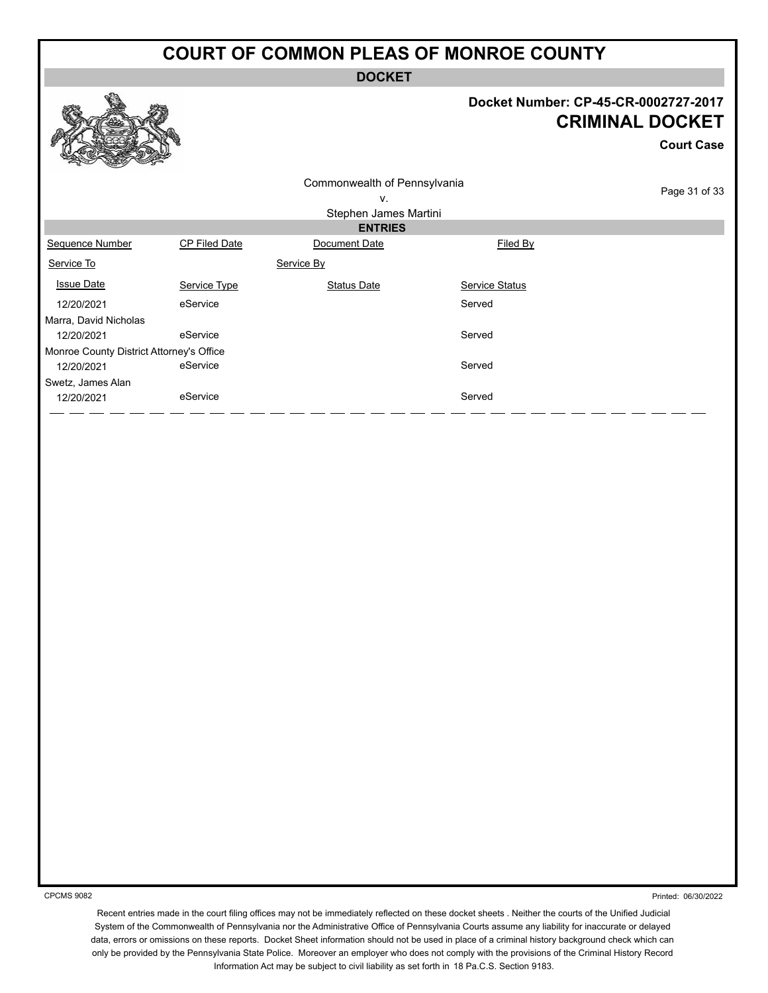**DOCKET**

#### **Docket Number: CP-45-CR-0002727-2017 CRIMINAL DOCKET**

**Court Case**

| Commonwealth of Pennsylvania             |               |                       |                | Page 31 of 33 |
|------------------------------------------|---------------|-----------------------|----------------|---------------|
|                                          |               | ν.                    |                |               |
|                                          |               | Stephen James Martini |                |               |
|                                          |               | <b>ENTRIES</b>        |                |               |
| Sequence Number                          | CP Filed Date | Document Date         | Filed By       |               |
| Service To                               |               | Service By            |                |               |
| <b>Issue Date</b>                        | Service Type  | <b>Status Date</b>    | Service Status |               |
| 12/20/2021                               | eService      |                       | Served         |               |
| Marra, David Nicholas                    |               |                       |                |               |
| 12/20/2021                               | eService      |                       | Served         |               |
| Monroe County District Attorney's Office |               |                       |                |               |
| 12/20/2021                               | eService      |                       | Served         |               |
| Swetz, James Alan                        |               |                       |                |               |
| 12/20/2021                               | eService      |                       | Served         |               |
|                                          |               |                       |                |               |

CPCMS 9082

Printed: 06/30/2022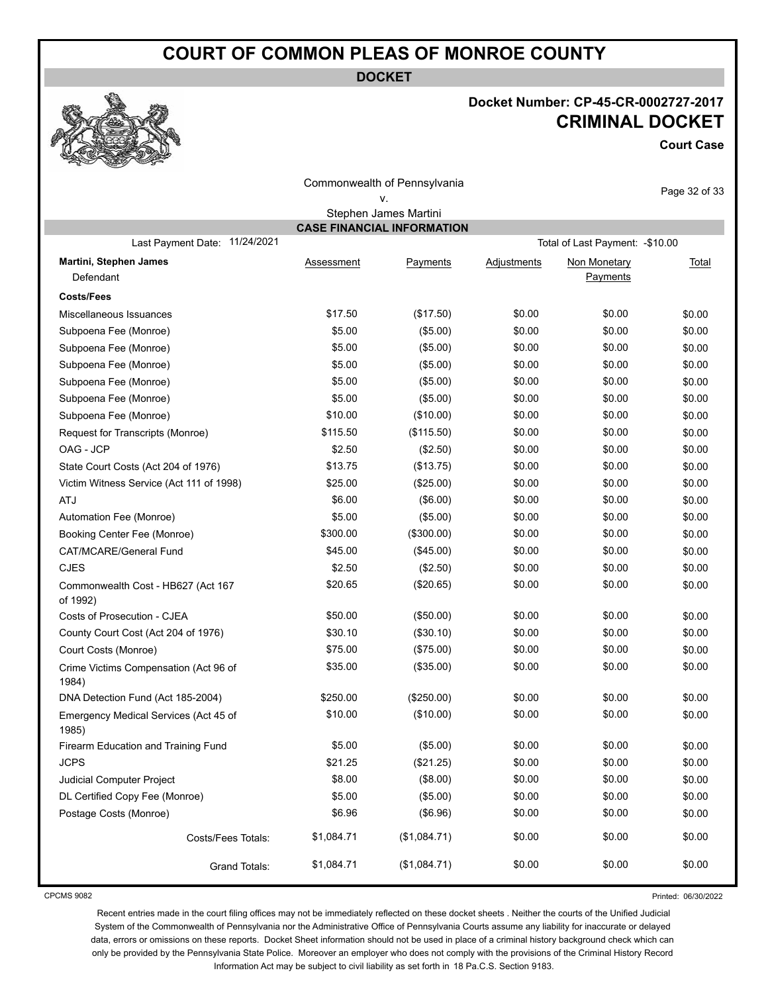**DOCKET**

#### **Docket Number: CP-45-CR-0002727-2017 CRIMINAL DOCKET**

**Court Case**

| Commonwealth of Pennsylvania                   |            |                       |             |                                  | Page 32 of 33 |  |  |  |  |
|------------------------------------------------|------------|-----------------------|-------------|----------------------------------|---------------|--|--|--|--|
|                                                |            | ν.                    |             |                                  |               |  |  |  |  |
|                                                |            | Stephen James Martini |             |                                  |               |  |  |  |  |
| <b>CASE FINANCIAL INFORMATION</b>              |            |                       |             |                                  |               |  |  |  |  |
| Last Payment Date: 11/24/2021                  |            |                       |             | Total of Last Payment: - \$10.00 |               |  |  |  |  |
| Martini, Stephen James                         | Assessment | Payments              | Adjustments | Non Monetary                     | Total         |  |  |  |  |
| Defendant                                      |            |                       |             | Payments                         |               |  |  |  |  |
| <b>Costs/Fees</b>                              |            |                       |             |                                  |               |  |  |  |  |
| Miscellaneous Issuances                        | \$17.50    | (\$17.50)             | \$0.00      | \$0.00                           | \$0.00        |  |  |  |  |
| Subpoena Fee (Monroe)                          | \$5.00     | (\$5.00)              | \$0.00      | \$0.00                           | \$0.00        |  |  |  |  |
| Subpoena Fee (Monroe)                          | \$5.00     | (\$5.00)              | \$0.00      | \$0.00                           | \$0.00        |  |  |  |  |
| Subpoena Fee (Monroe)                          | \$5.00     | (\$5.00)              | \$0.00      | \$0.00                           | \$0.00        |  |  |  |  |
| Subpoena Fee (Monroe)                          | \$5.00     | (\$5.00)              | \$0.00      | \$0.00                           | \$0.00        |  |  |  |  |
| Subpoena Fee (Monroe)                          | \$5.00     | (\$5.00)              | \$0.00      | \$0.00                           | \$0.00        |  |  |  |  |
| Subpoena Fee (Monroe)                          | \$10.00    | (\$10.00)             | \$0.00      | \$0.00                           | \$0.00        |  |  |  |  |
| Request for Transcripts (Monroe)               | \$115.50   | (\$115.50)            | \$0.00      | \$0.00                           | \$0.00        |  |  |  |  |
| OAG - JCP                                      | \$2.50     | (\$2.50)              | \$0.00      | \$0.00                           | \$0.00        |  |  |  |  |
| State Court Costs (Act 204 of 1976)            | \$13.75    | (\$13.75)             | \$0.00      | \$0.00                           | \$0.00        |  |  |  |  |
| Victim Witness Service (Act 111 of 1998)       | \$25.00    | (\$25.00)             | \$0.00      | \$0.00                           | \$0.00        |  |  |  |  |
| <b>ATJ</b>                                     | \$6.00     | (\$6.00)              | \$0.00      | \$0.00                           | \$0.00        |  |  |  |  |
| Automation Fee (Monroe)                        | \$5.00     | (\$5.00)              | \$0.00      | \$0.00                           | \$0.00        |  |  |  |  |
| Booking Center Fee (Monroe)                    | \$300.00   | (\$300.00)            | \$0.00      | \$0.00                           | \$0.00        |  |  |  |  |
| CAT/MCARE/General Fund                         | \$45.00    | (\$45.00)             | \$0.00      | \$0.00                           | \$0.00        |  |  |  |  |
| <b>CJES</b>                                    | \$2.50     | (\$2.50)              | \$0.00      | \$0.00                           | \$0.00        |  |  |  |  |
| Commonwealth Cost - HB627 (Act 167<br>of 1992) | \$20.65    | (\$20.65)             | \$0.00      | \$0.00                           | \$0.00        |  |  |  |  |
| Costs of Prosecution - CJEA                    | \$50.00    | (\$50.00)             | \$0.00      | \$0.00                           | \$0.00        |  |  |  |  |
| County Court Cost (Act 204 of 1976)            | \$30.10    | (\$30.10)             | \$0.00      | \$0.00                           | \$0.00        |  |  |  |  |
| Court Costs (Monroe)                           | \$75.00    | (\$75.00)             | \$0.00      | \$0.00                           | \$0.00        |  |  |  |  |
| Crime Victims Compensation (Act 96 of<br>1984) | \$35.00    | (\$35.00)             | \$0.00      | \$0.00                           | \$0.00        |  |  |  |  |
| DNA Detection Fund (Act 185-2004)              | \$250.00   | (\$250.00)            | \$0.00      | \$0.00                           | \$0.00        |  |  |  |  |
| Emergency Medical Services (Act 45 of<br>1985) | \$10.00    | (\$10.00)             | \$0.00      | \$0.00                           | \$0.00        |  |  |  |  |
| Firearm Education and Training Fund            | \$5.00     | (\$5.00)              | \$0.00      | \$0.00                           | \$0.00        |  |  |  |  |
| <b>JCPS</b>                                    | \$21.25    | (\$21.25)             | \$0.00      | \$0.00                           | \$0.00        |  |  |  |  |
| Judicial Computer Project                      | \$8.00     | (\$8.00)              | \$0.00      | \$0.00                           | \$0.00        |  |  |  |  |
| DL Certified Copy Fee (Monroe)                 | \$5.00     | (\$5.00)              | \$0.00      | \$0.00                           | \$0.00        |  |  |  |  |
| Postage Costs (Monroe)                         | \$6.96     | (\$6.96)              | \$0.00      | \$0.00                           | \$0.00        |  |  |  |  |
| Costs/Fees Totals:                             | \$1,084.71 | (\$1,084.71)          | \$0.00      | \$0.00                           | \$0.00        |  |  |  |  |
| Grand Totals:                                  | \$1,084.71 | (\$1,084.71)          | \$0.00      | \$0.00                           | \$0.00        |  |  |  |  |

CPCMS 9082

Printed: 06/30/2022